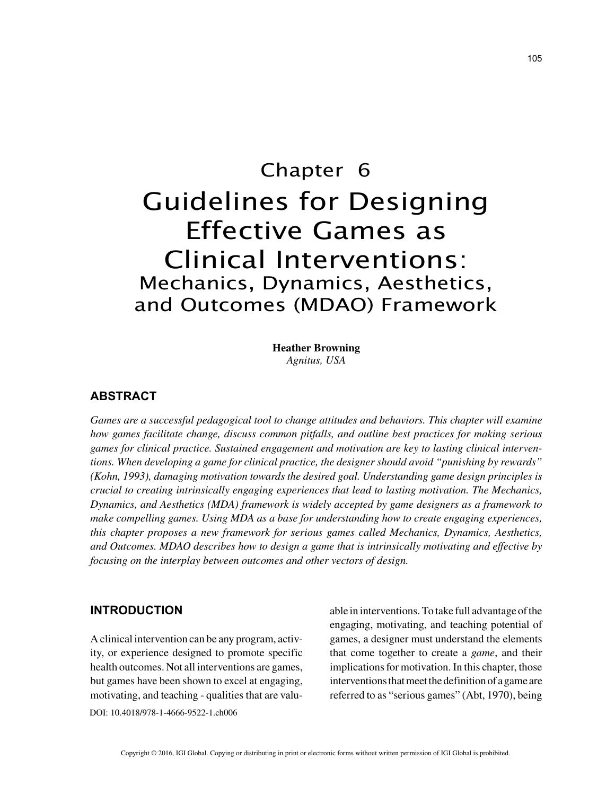# Chapter 6 Guidelines for Designing Effective Games as Clinical Interventions: Mechanics, Dynamics, Aesthetics, and Outcomes (MDAO) Framework

**Heather Browning** *Agnitus, USA*

#### **ABSTRACT**

*Games are a successful pedagogical tool to change attitudes and behaviors. This chapter will examine how games facilitate change, discuss common pitfalls, and outline best practices for making serious games for clinical practice. Sustained engagement and motivation are key to lasting clinical interventions. When developing a game for clinical practice, the designer should avoid "punishing by rewards" (Kohn, 1993), damaging motivation towards the desired goal. Understanding game design principles is crucial to creating intrinsically engaging experiences that lead to lasting motivation. The Mechanics, Dynamics, and Aesthetics (MDA) framework is widely accepted by game designers as a framework to make compelling games. Using MDA as a base for understanding how to create engaging experiences, this chapter proposes a new framework for serious games called Mechanics, Dynamics, Aesthetics, and Outcomes. MDAO describes how to design a game that is intrinsically motivating and effective by focusing on the interplay between outcomes and other vectors of design.*

#### **INTRODUCTION**

DOI: 10.4018/978-1-4666-9522-1.ch006 A clinical intervention can be any program, activity, or experience designed to promote specific health outcomes. Not all interventions are games, but games have been shown to excel at engaging, motivating, and teaching - qualities that are valuable in interventions. To take full advantage of the engaging, motivating, and teaching potential of games, a designer must understand the elements that come together to create a *game*, and their implications for motivation. In this chapter, those interventions that meet the definition of a game are referred to as "serious games" (Abt, 1970), being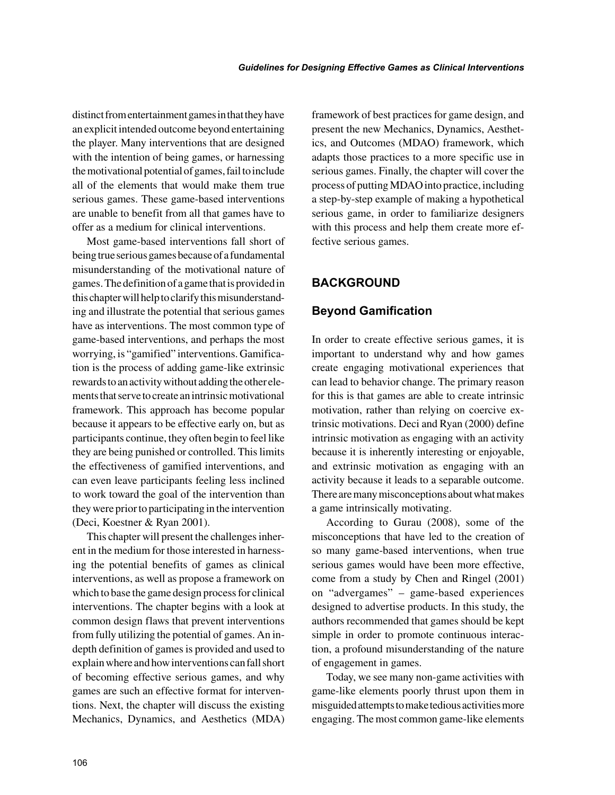distinct from entertainment games in that they have an explicit intended outcome beyond entertaining the player. Many interventions that are designed with the intention of being games, or harnessing the motivational potential of games, fail to include all of the elements that would make them true serious games. These game-based interventions are unable to benefit from all that games have to offer as a medium for clinical interventions.

Most game-based interventions fall short of being true serious games because of a fundamental misunderstanding of the motivational nature of games. The definition of a game that is provided in this chapter will help to clarify this misunderstanding and illustrate the potential that serious games have as interventions. The most common type of game-based interventions, and perhaps the most worrying, is "gamified" interventions. Gamification is the process of adding game-like extrinsic rewards to an activity without adding the other elements that serve to create an intrinsic motivational framework. This approach has become popular because it appears to be effective early on, but as participants continue, they often begin to feel like they are being punished or controlled. This limits the effectiveness of gamified interventions, and can even leave participants feeling less inclined to work toward the goal of the intervention than they were prior to participating in the intervention (Deci, Koestner & Ryan 2001).

This chapter will present the challenges inherent in the medium for those interested in harnessing the potential benefits of games as clinical interventions, as well as propose a framework on which to base the game design process for clinical interventions. The chapter begins with a look at common design flaws that prevent interventions from fully utilizing the potential of games. An indepth definition of games is provided and used to explain where and how interventions can fall short of becoming effective serious games, and why games are such an effective format for interventions. Next, the chapter will discuss the existing Mechanics, Dynamics, and Aesthetics (MDA) framework of best practices for game design, and present the new Mechanics, Dynamics, Aesthetics, and Outcomes (MDAO) framework, which adapts those practices to a more specific use in serious games. Finally, the chapter will cover the process of putting MDAO into practice, including a step-by-step example of making a hypothetical serious game, in order to familiarize designers with this process and help them create more effective serious games.

# **BACKGROUND**

## **Beyond Gamification**

In order to create effective serious games, it is important to understand why and how games create engaging motivational experiences that can lead to behavior change. The primary reason for this is that games are able to create intrinsic motivation, rather than relying on coercive extrinsic motivations. Deci and Ryan (2000) define intrinsic motivation as engaging with an activity because it is inherently interesting or enjoyable, and extrinsic motivation as engaging with an activity because it leads to a separable outcome. There are many misconceptions about what makes a game intrinsically motivating.

According to Gurau (2008), some of the misconceptions that have led to the creation of so many game-based interventions, when true serious games would have been more effective, come from a study by Chen and Ringel (2001) on "advergames" – game-based experiences designed to advertise products. In this study, the authors recommended that games should be kept simple in order to promote continuous interaction, a profound misunderstanding of the nature of engagement in games.

Today, we see many non-game activities with game-like elements poorly thrust upon them in misguided attempts to make tedious activities more engaging. The most common game-like elements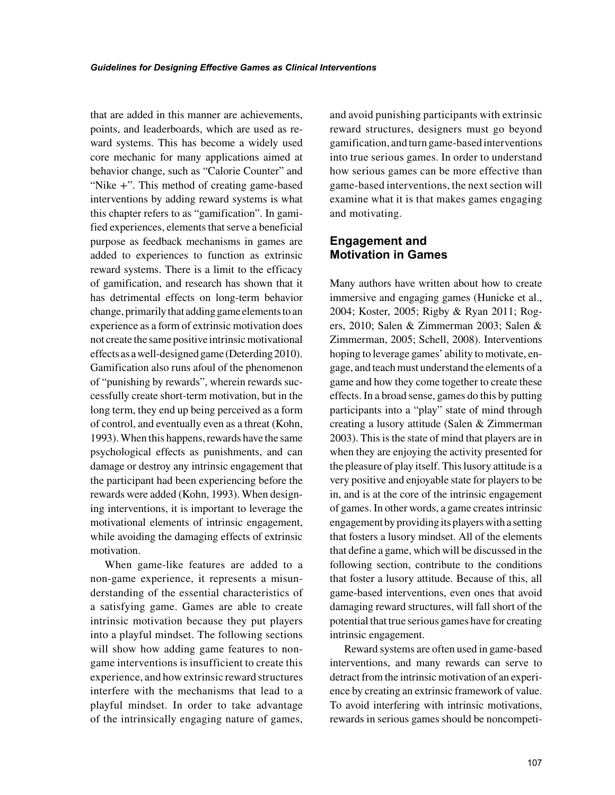that are added in this manner are achievements, points, and leaderboards, which are used as reward systems. This has become a widely used core mechanic for many applications aimed at behavior change, such as "Calorie Counter" and "Nike +". This method of creating game-based interventions by adding reward systems is what this chapter refers to as "gamification". In gamified experiences, elements that serve a beneficial purpose as feedback mechanisms in games are added to experiences to function as extrinsic reward systems. There is a limit to the efficacy of gamification, and research has shown that it has detrimental effects on long-term behavior change, primarily that adding game elements to an experience as a form of extrinsic motivation does not create the same positive intrinsic motivational effects as a well-designed game (Deterding 2010). Gamification also runs afoul of the phenomenon of "punishing by rewards", wherein rewards successfully create short-term motivation, but in the long term, they end up being perceived as a form of control, and eventually even as a threat (Kohn, 1993). When this happens, rewards have the same psychological effects as punishments, and can damage or destroy any intrinsic engagement that the participant had been experiencing before the rewards were added (Kohn, 1993). When designing interventions, it is important to leverage the motivational elements of intrinsic engagement, while avoiding the damaging effects of extrinsic motivation.

When game-like features are added to a non-game experience, it represents a misunderstanding of the essential characteristics of a satisfying game. Games are able to create intrinsic motivation because they put players into a playful mindset. The following sections will show how adding game features to nongame interventions is insufficient to create this experience, and how extrinsic reward structures interfere with the mechanisms that lead to a playful mindset. In order to take advantage of the intrinsically engaging nature of games, and avoid punishing participants with extrinsic reward structures, designers must go beyond gamification, and turn game-based interventions into true serious games. In order to understand how serious games can be more effective than game-based interventions, the next section will examine what it is that makes games engaging and motivating.

## **Engagement and Motivation in Games**

Many authors have written about how to create immersive and engaging games (Hunicke et al., 2004; Koster, 2005; Rigby & Ryan 2011; Rogers, 2010; Salen & Zimmerman 2003; Salen & Zimmerman, 2005; Schell, 2008). Interventions hoping to leverage games' ability to motivate, engage, and teach must understand the elements of a game and how they come together to create these effects. In a broad sense, games do this by putting participants into a "play" state of mind through creating a lusory attitude (Salen & Zimmerman 2003). This is the state of mind that players are in when they are enjoying the activity presented for the pleasure of play itself. This lusory attitude is a very positive and enjoyable state for players to be in, and is at the core of the intrinsic engagement of games. In other words, a game creates intrinsic engagement by providing its players with a setting that fosters a lusory mindset. All of the elements that define a game, which will be discussed in the following section, contribute to the conditions that foster a lusory attitude. Because of this, all game-based interventions, even ones that avoid damaging reward structures, will fall short of the potential that true serious games have for creating intrinsic engagement.

Reward systems are often used in game-based interventions, and many rewards can serve to detract from the intrinsic motivation of an experience by creating an extrinsic framework of value. To avoid interfering with intrinsic motivations, rewards in serious games should be noncompeti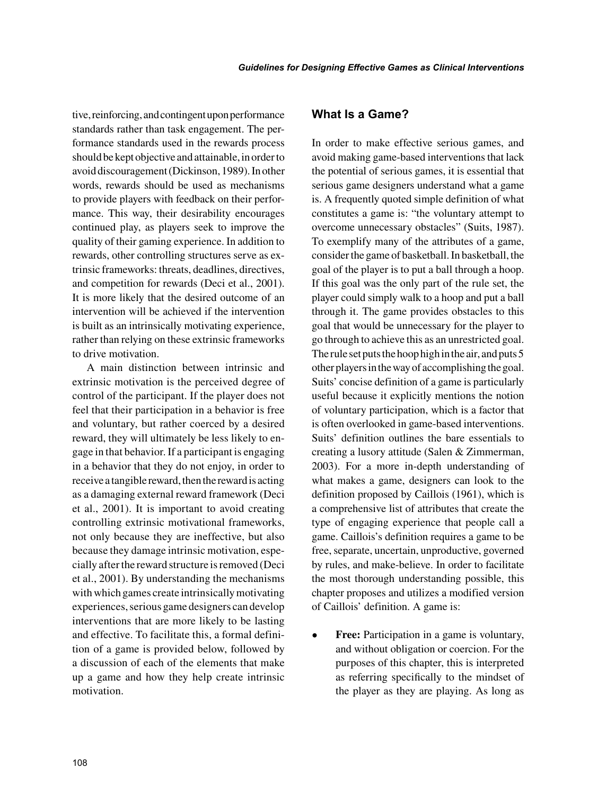tive, reinforcing, and contingent upon performance standards rather than task engagement. The performance standards used in the rewards process should be kept objective and attainable, in order to avoid discouragement (Dickinson, 1989). In other words, rewards should be used as mechanisms to provide players with feedback on their performance. This way, their desirability encourages continued play, as players seek to improve the quality of their gaming experience. In addition to rewards, other controlling structures serve as extrinsic frameworks: threats, deadlines, directives, and competition for rewards (Deci et al., 2001). It is more likely that the desired outcome of an intervention will be achieved if the intervention is built as an intrinsically motivating experience, rather than relying on these extrinsic frameworks to drive motivation.

A main distinction between intrinsic and extrinsic motivation is the perceived degree of control of the participant. If the player does not feel that their participation in a behavior is free and voluntary, but rather coerced by a desired reward, they will ultimately be less likely to engage in that behavior. If a participant is engaging in a behavior that they do not enjoy, in order to receive a tangible reward, then the reward is acting as a damaging external reward framework (Deci et al., 2001). It is important to avoid creating controlling extrinsic motivational frameworks, not only because they are ineffective, but also because they damage intrinsic motivation, especially after the reward structure is removed (Deci et al., 2001). By understanding the mechanisms with which games create intrinsically motivating experiences, serious game designers can develop interventions that are more likely to be lasting and effective. To facilitate this, a formal definition of a game is provided below, followed by a discussion of each of the elements that make up a game and how they help create intrinsic motivation.

#### **What Is a Game?**

In order to make effective serious games, and avoid making game-based interventions that lack the potential of serious games, it is essential that serious game designers understand what a game is. A frequently quoted simple definition of what constitutes a game is: "the voluntary attempt to overcome unnecessary obstacles" (Suits, 1987). To exemplify many of the attributes of a game, consider the game of basketball. In basketball, the goal of the player is to put a ball through a hoop. If this goal was the only part of the rule set, the player could simply walk to a hoop and put a ball through it. The game provides obstacles to this goal that would be unnecessary for the player to go through to achieve this as an unrestricted goal. The rule set puts the hoop high in the air, and puts 5 other players in the way of accomplishing the goal. Suits' concise definition of a game is particularly useful because it explicitly mentions the notion of voluntary participation, which is a factor that is often overlooked in game-based interventions. Suits' definition outlines the bare essentials to creating a lusory attitude (Salen & Zimmerman, 2003). For a more in-depth understanding of what makes a game, designers can look to the definition proposed by Caillois (1961), which is a comprehensive list of attributes that create the type of engaging experience that people call a game. Caillois's definition requires a game to be free, separate, uncertain, unproductive, governed by rules, and make-believe. In order to facilitate the most thorough understanding possible, this chapter proposes and utilizes a modified version of Caillois' definition. A game is:

• **Free:** Participation in a game is voluntary, and without obligation or coercion. For the purposes of this chapter, this is interpreted as referring specifically to the mindset of the player as they are playing. As long as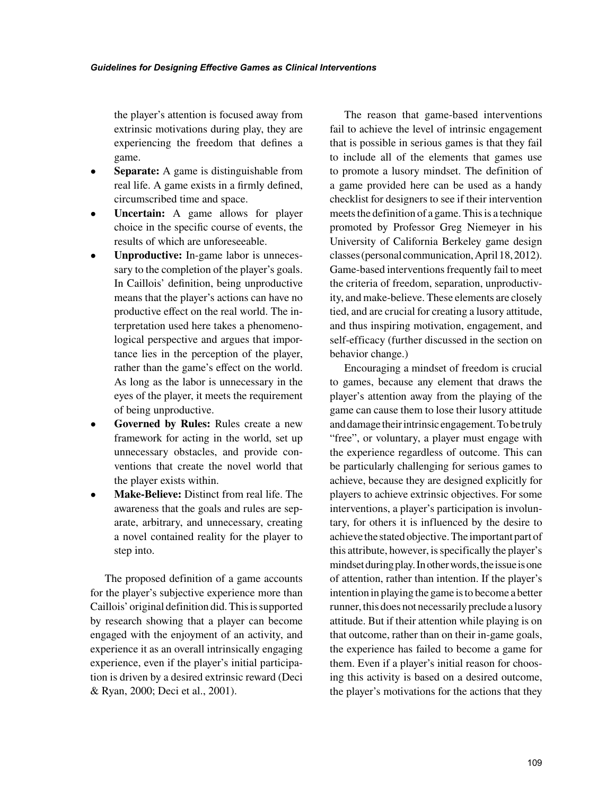the player's attention is focused away from extrinsic motivations during play, they are experiencing the freedom that defines a game.

- **Separate:** A game is distinguishable from real life. A game exists in a firmly defined, circumscribed time and space.
- **Uncertain:** A game allows for player choice in the specific course of events, the results of which are unforeseeable.
- **Unproductive:** In-game labor is unnecessary to the completion of the player's goals. In Caillois' definition, being unproductive means that the player's actions can have no productive effect on the real world. The interpretation used here takes a phenomenological perspective and argues that importance lies in the perception of the player, rather than the game's effect on the world. As long as the labor is unnecessary in the eyes of the player, it meets the requirement of being unproductive.
- **Governed by Rules:** Rules create a new framework for acting in the world, set up unnecessary obstacles, and provide conventions that create the novel world that the player exists within.
- **Make-Believe:** Distinct from real life. The awareness that the goals and rules are separate, arbitrary, and unnecessary, creating a novel contained reality for the player to step into.

The proposed definition of a game accounts for the player's subjective experience more than Caillois' original definition did. This is supported by research showing that a player can become engaged with the enjoyment of an activity, and experience it as an overall intrinsically engaging experience, even if the player's initial participation is driven by a desired extrinsic reward (Deci & Ryan, 2000; Deci et al., 2001).

The reason that game-based interventions fail to achieve the level of intrinsic engagement that is possible in serious games is that they fail to include all of the elements that games use to promote a lusory mindset. The definition of a game provided here can be used as a handy checklist for designers to see if their intervention meets the definition of a game. This is a technique promoted by Professor Greg Niemeyer in his University of California Berkeley game design classes (personal communication, April 18, 2012). Game-based interventions frequently fail to meet the criteria of freedom, separation, unproductivity, and make-believe. These elements are closely tied, and are crucial for creating a lusory attitude, and thus inspiring motivation, engagement, and self-efficacy (further discussed in the section on behavior change.)

Encouraging a mindset of freedom is crucial to games, because any element that draws the player's attention away from the playing of the game can cause them to lose their lusory attitude and damage their intrinsic engagement. To be truly "free", or voluntary, a player must engage with the experience regardless of outcome. This can be particularly challenging for serious games to achieve, because they are designed explicitly for players to achieve extrinsic objectives. For some interventions, a player's participation is involuntary, for others it is influenced by the desire to achieve the stated objective. The important part of this attribute, however, is specifically the player's mindset during play. In other words, the issue is one of attention, rather than intention. If the player's intention in playing the game is to become a better runner, this does not necessarily preclude a lusory attitude. But if their attention while playing is on that outcome, rather than on their in-game goals, the experience has failed to become a game for them. Even if a player's initial reason for choosing this activity is based on a desired outcome, the player's motivations for the actions that they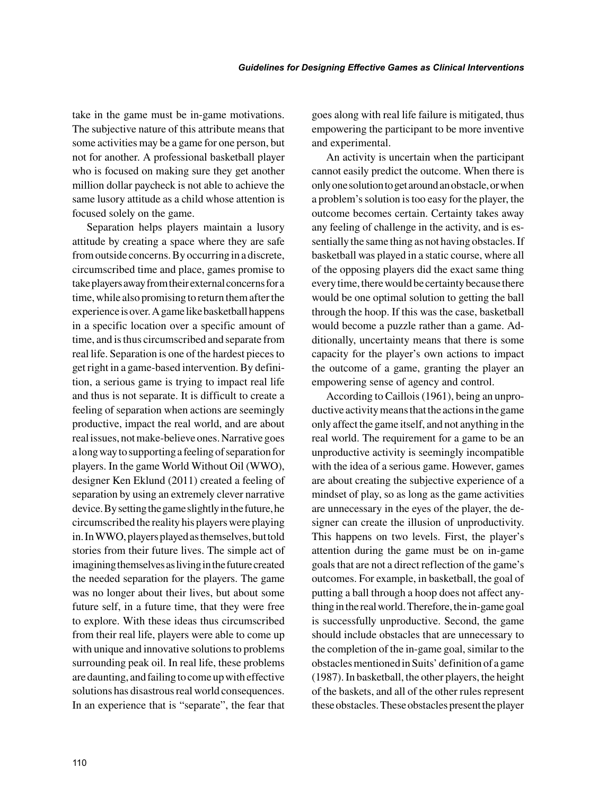take in the game must be in-game motivations. The subjective nature of this attribute means that some activities may be a game for one person, but not for another. A professional basketball player who is focused on making sure they get another million dollar paycheck is not able to achieve the same lusory attitude as a child whose attention is focused solely on the game.

Separation helps players maintain a lusory attitude by creating a space where they are safe from outside concerns. By occurring in a discrete, circumscribed time and place, games promise to take players away from their external concerns for a time, while also promising to return them after the experience is over. A game like basketball happens in a specific location over a specific amount of time, and is thus circumscribed and separate from real life. Separation is one of the hardest pieces to get right in a game-based intervention. By definition, a serious game is trying to impact real life and thus is not separate. It is difficult to create a feeling of separation when actions are seemingly productive, impact the real world, and are about real issues, not make-believe ones. Narrative goes a long way to supporting a feeling of separation for players. In the game World Without Oil (WWO), designer Ken Eklund (2011) created a feeling of separation by using an extremely clever narrative device. By setting the game slightly in the future, he circumscribed the reality his players were playing in. In WWO, players played as themselves, but told stories from their future lives. The simple act of imagining themselves as living in the future created the needed separation for the players. The game was no longer about their lives, but about some future self, in a future time, that they were free to explore. With these ideas thus circumscribed from their real life, players were able to come up with unique and innovative solutions to problems surrounding peak oil. In real life, these problems are daunting, and failing to come up with effective solutions has disastrous real world consequences. In an experience that is "separate", the fear that goes along with real life failure is mitigated, thus empowering the participant to be more inventive and experimental.

An activity is uncertain when the participant cannot easily predict the outcome. When there is only one solution to get around an obstacle, or when a problem's solution is too easy for the player, the outcome becomes certain. Certainty takes away any feeling of challenge in the activity, and is essentially the same thing as not having obstacles. If basketball was played in a static course, where all of the opposing players did the exact same thing every time, there would be certainty because there would be one optimal solution to getting the ball through the hoop. If this was the case, basketball would become a puzzle rather than a game. Additionally, uncertainty means that there is some capacity for the player's own actions to impact the outcome of a game, granting the player an empowering sense of agency and control.

According to Caillois (1961), being an unproductive activity means that the actions in the game only affect the game itself, and not anything in the real world. The requirement for a game to be an unproductive activity is seemingly incompatible with the idea of a serious game. However, games are about creating the subjective experience of a mindset of play, so as long as the game activities are unnecessary in the eyes of the player, the designer can create the illusion of unproductivity. This happens on two levels. First, the player's attention during the game must be on in-game goals that are not a direct reflection of the game's outcomes. For example, in basketball, the goal of putting a ball through a hoop does not affect anything in the real world. Therefore, the in-game goal is successfully unproductive. Second, the game should include obstacles that are unnecessary to the completion of the in-game goal, similar to the obstacles mentioned in Suits' definition of a game (1987). In basketball, the other players, the height of the baskets, and all of the other rules represent these obstacles. These obstacles present the player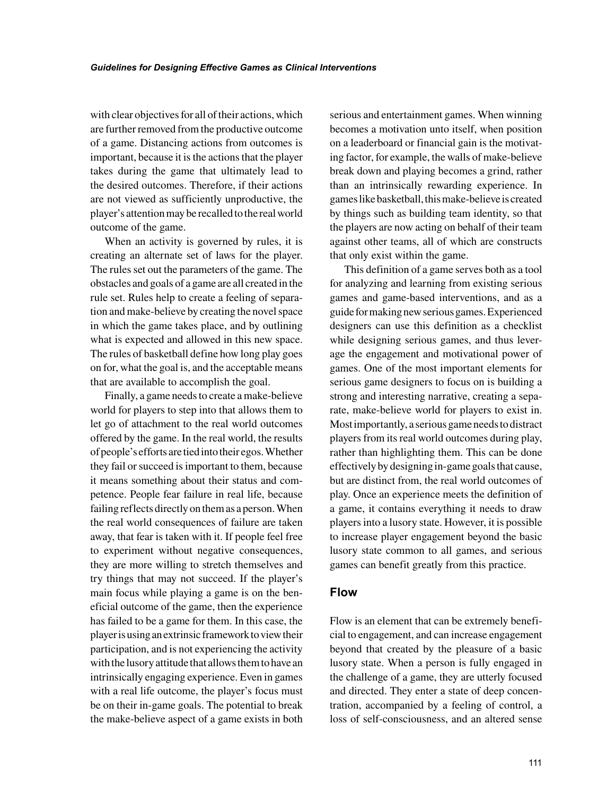with clear objectives for all of their actions, which are further removed from the productive outcome of a game. Distancing actions from outcomes is important, because it is the actions that the player takes during the game that ultimately lead to the desired outcomes. Therefore, if their actions are not viewed as sufficiently unproductive, the player's attention may be recalled to the real world outcome of the game.

When an activity is governed by rules, it is creating an alternate set of laws for the player. The rules set out the parameters of the game. The obstacles and goals of a game are all created in the rule set. Rules help to create a feeling of separation and make-believe by creating the novel space in which the game takes place, and by outlining what is expected and allowed in this new space. The rules of basketball define how long play goes on for, what the goal is, and the acceptable means that are available to accomplish the goal.

Finally, a game needs to create a make-believe world for players to step into that allows them to let go of attachment to the real world outcomes offered by the game. In the real world, the results of people's efforts are tied into their egos. Whether they fail or succeed is important to them, because it means something about their status and competence. People fear failure in real life, because failing reflects directly on them as a person. When the real world consequences of failure are taken away, that fear is taken with it. If people feel free to experiment without negative consequences, they are more willing to stretch themselves and try things that may not succeed. If the player's main focus while playing a game is on the beneficial outcome of the game, then the experience has failed to be a game for them. In this case, the player is using an extrinsic framework to view their participation, and is not experiencing the activity with the lusory attitude that allows them to have an intrinsically engaging experience. Even in games with a real life outcome, the player's focus must be on their in-game goals. The potential to break the make-believe aspect of a game exists in both

serious and entertainment games. When winning becomes a motivation unto itself, when position on a leaderboard or financial gain is the motivating factor, for example, the walls of make-believe break down and playing becomes a grind, rather than an intrinsically rewarding experience. In games like basketball, this make-believe is created by things such as building team identity, so that the players are now acting on behalf of their team against other teams, all of which are constructs that only exist within the game.

This definition of a game serves both as a tool for analyzing and learning from existing serious games and game-based interventions, and as a guide for making new serious games. Experienced designers can use this definition as a checklist while designing serious games, and thus leverage the engagement and motivational power of games. One of the most important elements for serious game designers to focus on is building a strong and interesting narrative, creating a separate, make-believe world for players to exist in. Most importantly, a serious game needs to distract players from its real world outcomes during play, rather than highlighting them. This can be done effectively by designing in-game goals that cause, but are distinct from, the real world outcomes of play. Once an experience meets the definition of a game, it contains everything it needs to draw players into a lusory state. However, it is possible to increase player engagement beyond the basic lusory state common to all games, and serious games can benefit greatly from this practice.

#### **Flow**

Flow is an element that can be extremely beneficial to engagement, and can increase engagement beyond that created by the pleasure of a basic lusory state. When a person is fully engaged in the challenge of a game, they are utterly focused and directed. They enter a state of deep concentration, accompanied by a feeling of control, a loss of self-consciousness, and an altered sense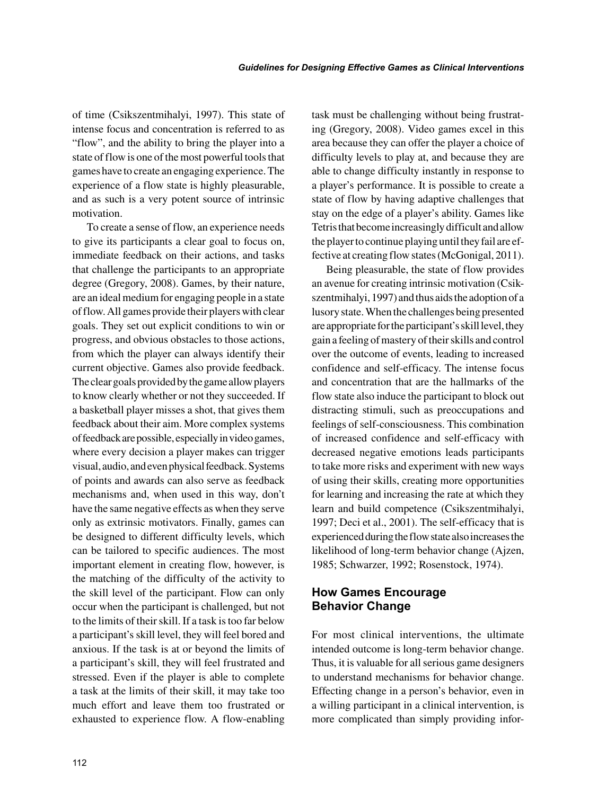of time (Csikszentmihalyi, 1997). This state of intense focus and concentration is referred to as "flow", and the ability to bring the player into a state of flow is one of the most powerful tools that games have to create an engaging experience. The experience of a flow state is highly pleasurable, and as such is a very potent source of intrinsic motivation.

To create a sense of flow, an experience needs to give its participants a clear goal to focus on, immediate feedback on their actions, and tasks that challenge the participants to an appropriate degree (Gregory, 2008). Games, by their nature, are an ideal medium for engaging people in a state of flow. All games provide their players with clear goals. They set out explicit conditions to win or progress, and obvious obstacles to those actions, from which the player can always identify their current objective. Games also provide feedback. The clear goals provided by the game allow players to know clearly whether or not they succeeded. If a basketball player misses a shot, that gives them feedback about their aim. More complex systems of feedback are possible, especially in video games, where every decision a player makes can trigger visual, audio, and even physical feedback. Systems of points and awards can also serve as feedback mechanisms and, when used in this way, don't have the same negative effects as when they serve only as extrinsic motivators. Finally, games can be designed to different difficulty levels, which can be tailored to specific audiences. The most important element in creating flow, however, is the matching of the difficulty of the activity to the skill level of the participant. Flow can only occur when the participant is challenged, but not to the limits of their skill. If a task is too far below a participant's skill level, they will feel bored and anxious. If the task is at or beyond the limits of a participant's skill, they will feel frustrated and stressed. Even if the player is able to complete a task at the limits of their skill, it may take too much effort and leave them too frustrated or exhausted to experience flow. A flow-enabling task must be challenging without being frustrating (Gregory, 2008). Video games excel in this area because they can offer the player a choice of difficulty levels to play at, and because they are able to change difficulty instantly in response to a player's performance. It is possible to create a state of flow by having adaptive challenges that stay on the edge of a player's ability. Games like Tetris that become increasingly difficult and allow the player to continue playing until they fail are effective at creating flow states (McGonigal, 2011).

Being pleasurable, the state of flow provides an avenue for creating intrinsic motivation (Csikszentmihalyi, 1997) and thus aids the adoption of a lusory state. When the challenges being presented are appropriate for the participant's skill level, they gain a feeling of mastery of their skills and control over the outcome of events, leading to increased confidence and self-efficacy. The intense focus and concentration that are the hallmarks of the flow state also induce the participant to block out distracting stimuli, such as preoccupations and feelings of self-consciousness. This combination of increased confidence and self-efficacy with decreased negative emotions leads participants to take more risks and experiment with new ways of using their skills, creating more opportunities for learning and increasing the rate at which they learn and build competence (Csikszentmihalyi, 1997; Deci et al., 2001). The self-efficacy that is experienced during the flow state also increases the likelihood of long-term behavior change (Ajzen, 1985; Schwarzer, 1992; Rosenstock, 1974).

## **How Games Encourage Behavior Change**

For most clinical interventions, the ultimate intended outcome is long-term behavior change. Thus, it is valuable for all serious game designers to understand mechanisms for behavior change. Effecting change in a person's behavior, even in a willing participant in a clinical intervention, is more complicated than simply providing infor-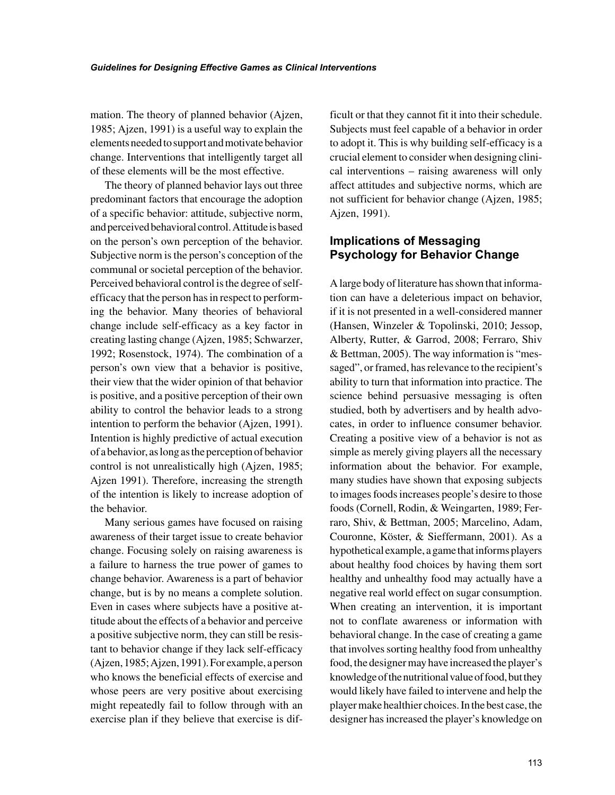mation. The theory of planned behavior (Ajzen, 1985; Ajzen, 1991) is a useful way to explain the elements needed to support and motivate behavior change. Interventions that intelligently target all of these elements will be the most effective.

The theory of planned behavior lays out three predominant factors that encourage the adoption of a specific behavior: attitude, subjective norm, and perceived behavioral control. Attitude is based on the person's own perception of the behavior. Subjective norm is the person's conception of the communal or societal perception of the behavior. Perceived behavioral control is the degree of selfefficacy that the person has in respect to performing the behavior. Many theories of behavioral change include self-efficacy as a key factor in creating lasting change (Ajzen, 1985; Schwarzer, 1992; Rosenstock, 1974). The combination of a person's own view that a behavior is positive, their view that the wider opinion of that behavior is positive, and a positive perception of their own ability to control the behavior leads to a strong intention to perform the behavior (Ajzen, 1991). Intention is highly predictive of actual execution of a behavior, as long as the perception of behavior control is not unrealistically high (Ajzen, 1985; Ajzen 1991). Therefore, increasing the strength of the intention is likely to increase adoption of the behavior.

Many serious games have focused on raising awareness of their target issue to create behavior change. Focusing solely on raising awareness is a failure to harness the true power of games to change behavior. Awareness is a part of behavior change, but is by no means a complete solution. Even in cases where subjects have a positive attitude about the effects of a behavior and perceive a positive subjective norm, they can still be resistant to behavior change if they lack self-efficacy (Ajzen, 1985; Ajzen, 1991). For example, a person who knows the beneficial effects of exercise and whose peers are very positive about exercising might repeatedly fail to follow through with an exercise plan if they believe that exercise is difficult or that they cannot fit it into their schedule. Subjects must feel capable of a behavior in order to adopt it. This is why building self-efficacy is a crucial element to consider when designing clinical interventions – raising awareness will only affect attitudes and subjective norms, which are not sufficient for behavior change (Ajzen, 1985; Ajzen, 1991).

# **Implications of Messaging Psychology for Behavior Change**

A large body of literature has shown that information can have a deleterious impact on behavior, if it is not presented in a well-considered manner (Hansen, Winzeler & Topolinski, 2010; Jessop, Alberty, Rutter, & Garrod, 2008; Ferraro, Shiv & Bettman, 2005). The way information is "messaged", or framed, has relevance to the recipient's ability to turn that information into practice. The science behind persuasive messaging is often studied, both by advertisers and by health advocates, in order to influence consumer behavior. Creating a positive view of a behavior is not as simple as merely giving players all the necessary information about the behavior. For example, many studies have shown that exposing subjects to images foods increases people's desire to those foods (Cornell, Rodin, & Weingarten, 1989; Ferraro, Shiv, & Bettman, 2005; Marcelino, Adam, Couronne, Köster, & Sieffermann, 2001). As a hypothetical example, a game that informs players about healthy food choices by having them sort healthy and unhealthy food may actually have a negative real world effect on sugar consumption. When creating an intervention, it is important not to conflate awareness or information with behavioral change. In the case of creating a game that involves sorting healthy food from unhealthy food, the designer may have increased the player's knowledge of the nutritional value of food, but they would likely have failed to intervene and help the player make healthier choices. In the best case, the designer has increased the player's knowledge on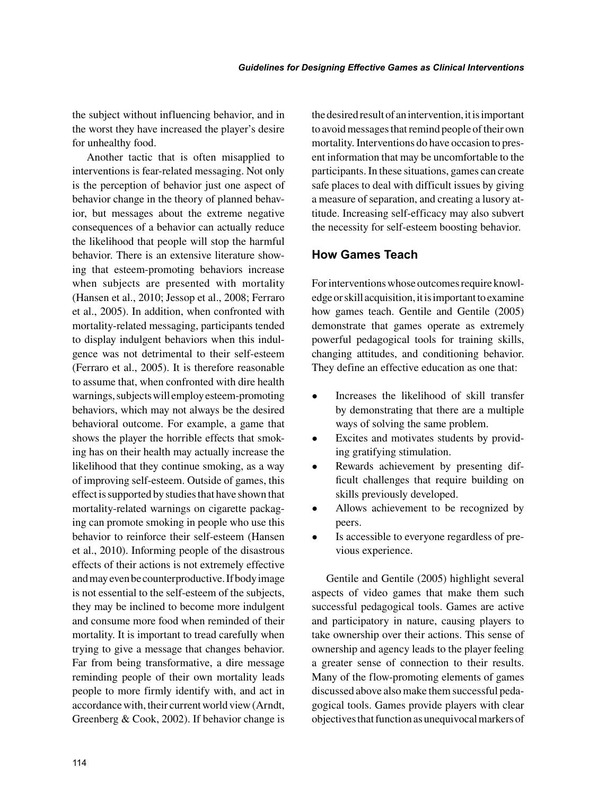the subject without influencing behavior, and in the worst they have increased the player's desire for unhealthy food.

Another tactic that is often misapplied to interventions is fear-related messaging. Not only is the perception of behavior just one aspect of behavior change in the theory of planned behavior, but messages about the extreme negative consequences of a behavior can actually reduce the likelihood that people will stop the harmful behavior. There is an extensive literature showing that esteem-promoting behaviors increase when subjects are presented with mortality (Hansen et al., 2010; Jessop et al., 2008; Ferraro et al., 2005). In addition, when confronted with mortality-related messaging, participants tended to display indulgent behaviors when this indulgence was not detrimental to their self-esteem (Ferraro et al., 2005). It is therefore reasonable to assume that, when confronted with dire health warnings, subjects will employ esteem-promoting behaviors, which may not always be the desired behavioral outcome. For example, a game that shows the player the horrible effects that smoking has on their health may actually increase the likelihood that they continue smoking, as a way of improving self-esteem. Outside of games, this effect is supported by studies that have shown that mortality-related warnings on cigarette packaging can promote smoking in people who use this behavior to reinforce their self-esteem (Hansen et al., 2010). Informing people of the disastrous effects of their actions is not extremely effective and may even be counterproductive. If body image is not essential to the self-esteem of the subjects, they may be inclined to become more indulgent and consume more food when reminded of their mortality. It is important to tread carefully when trying to give a message that changes behavior. Far from being transformative, a dire message reminding people of their own mortality leads people to more firmly identify with, and act in accordance with, their current world view (Arndt, Greenberg & Cook, 2002). If behavior change is the desired result of an intervention, it is important to avoid messages that remind people of their own mortality. Interventions do have occasion to present information that may be uncomfortable to the participants. In these situations, games can create safe places to deal with difficult issues by giving a measure of separation, and creating a lusory attitude. Increasing self-efficacy may also subvert the necessity for self-esteem boosting behavior.

### **How Games Teach**

For interventions whose outcomes require knowledge or skill acquisition, it is important to examine how games teach. Gentile and Gentile (2005) demonstrate that games operate as extremely powerful pedagogical tools for training skills, changing attitudes, and conditioning behavior. They define an effective education as one that:

- Increases the likelihood of skill transfer by demonstrating that there are a multiple ways of solving the same problem.
- Excites and motivates students by providing gratifying stimulation.
- Rewards achievement by presenting difficult challenges that require building on skills previously developed.
- Allows achievement to be recognized by peers.
- Is accessible to everyone regardless of previous experience.

Gentile and Gentile (2005) highlight several aspects of video games that make them such successful pedagogical tools. Games are active and participatory in nature, causing players to take ownership over their actions. This sense of ownership and agency leads to the player feeling a greater sense of connection to their results. Many of the flow-promoting elements of games discussed above also make them successful pedagogical tools. Games provide players with clear objectives that function as unequivocal markers of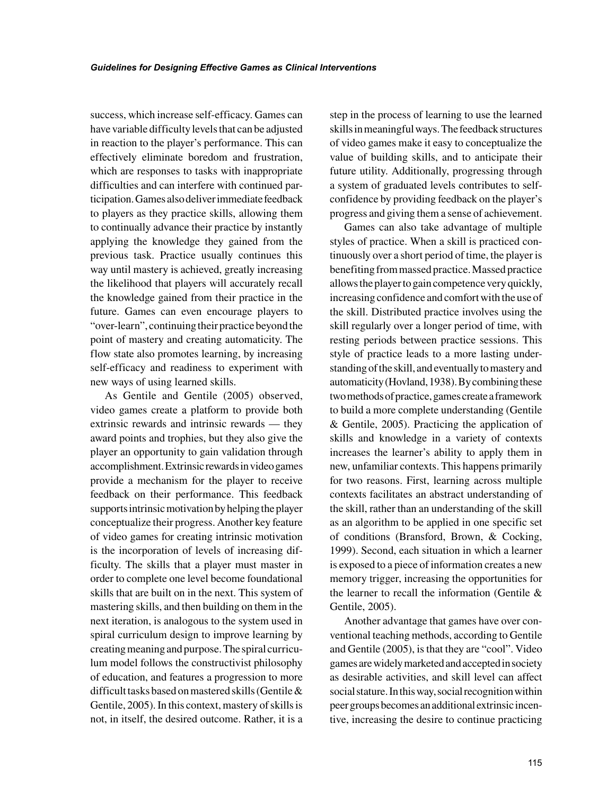success, which increase self-efficacy. Games can have variable difficulty levels that can be adjusted in reaction to the player's performance. This can effectively eliminate boredom and frustration, which are responses to tasks with inappropriate difficulties and can interfere with continued participation. Games also deliver immediate feedback to players as they practice skills, allowing them to continually advance their practice by instantly applying the knowledge they gained from the previous task. Practice usually continues this way until mastery is achieved, greatly increasing the likelihood that players will accurately recall the knowledge gained from their practice in the future. Games can even encourage players to "over-learn", continuing their practice beyond the point of mastery and creating automaticity. The flow state also promotes learning, by increasing self-efficacy and readiness to experiment with new ways of using learned skills.

As Gentile and Gentile (2005) observed, video games create a platform to provide both extrinsic rewards and intrinsic rewards — they award points and trophies, but they also give the player an opportunity to gain validation through accomplishment. Extrinsic rewards in video games provide a mechanism for the player to receive feedback on their performance. This feedback supports intrinsic motivation by helping the player conceptualize their progress. Another key feature of video games for creating intrinsic motivation is the incorporation of levels of increasing difficulty. The skills that a player must master in order to complete one level become foundational skills that are built on in the next. This system of mastering skills, and then building on them in the next iteration, is analogous to the system used in spiral curriculum design to improve learning by creating meaning and purpose. The spiral curriculum model follows the constructivist philosophy of education, and features a progression to more difficult tasks based on mastered skills (Gentile & Gentile, 2005). In this context, mastery of skills is not, in itself, the desired outcome. Rather, it is a

step in the process of learning to use the learned skills in meaningful ways. The feedback structures of video games make it easy to conceptualize the value of building skills, and to anticipate their future utility. Additionally, progressing through a system of graduated levels contributes to selfconfidence by providing feedback on the player's progress and giving them a sense of achievement.

Games can also take advantage of multiple styles of practice. When a skill is practiced continuously over a short period of time, the player is benefiting from massed practice. Massed practice allows the player to gain competence very quickly, increasing confidence and comfort with the use of the skill. Distributed practice involves using the skill regularly over a longer period of time, with resting periods between practice sessions. This style of practice leads to a more lasting understanding of the skill, and eventually to mastery and automaticity (Hovland, 1938). By combining these two methods of practice, games create a framework to build a more complete understanding (Gentile & Gentile, 2005). Practicing the application of skills and knowledge in a variety of contexts increases the learner's ability to apply them in new, unfamiliar contexts. This happens primarily for two reasons. First, learning across multiple contexts facilitates an abstract understanding of the skill, rather than an understanding of the skill as an algorithm to be applied in one specific set of conditions (Bransford, Brown, & Cocking, 1999). Second, each situation in which a learner is exposed to a piece of information creates a new memory trigger, increasing the opportunities for the learner to recall the information (Gentile & Gentile, 2005).

Another advantage that games have over conventional teaching methods, according to Gentile and Gentile (2005), is that they are "cool". Video games are widely marketed and accepted in society as desirable activities, and skill level can affect social stature. In this way, social recognition within peer groups becomes an additional extrinsic incentive, increasing the desire to continue practicing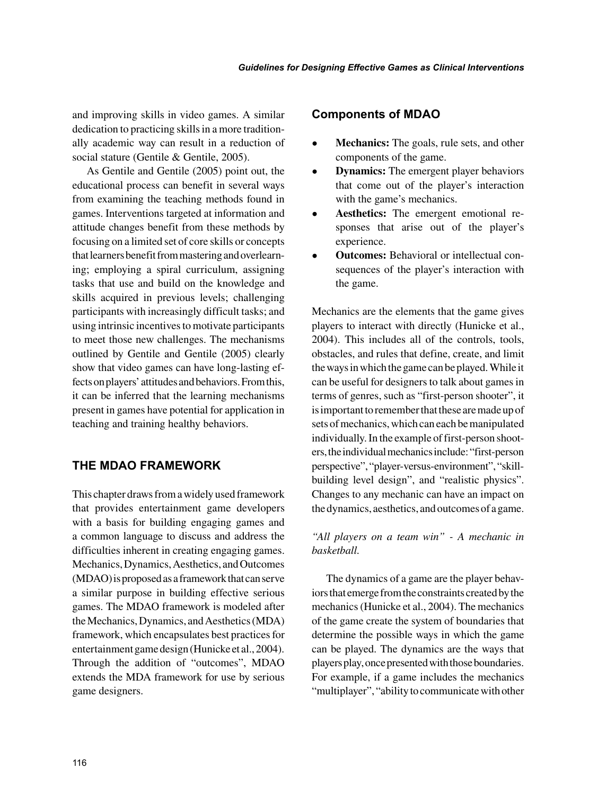and improving skills in video games. A similar dedication to practicing skills in a more traditionally academic way can result in a reduction of social stature (Gentile & Gentile, 2005).

As Gentile and Gentile (2005) point out, the educational process can benefit in several ways from examining the teaching methods found in games. Interventions targeted at information and attitude changes benefit from these methods by focusing on a limited set of core skills or concepts that learners benefit from mastering and overlearning; employing a spiral curriculum, assigning tasks that use and build on the knowledge and skills acquired in previous levels; challenging participants with increasingly difficult tasks; and using intrinsic incentives to motivate participants to meet those new challenges. The mechanisms outlined by Gentile and Gentile (2005) clearly show that video games can have long-lasting effects on players' attitudes and behaviors. From this, it can be inferred that the learning mechanisms present in games have potential for application in teaching and training healthy behaviors.

## **THE MDAO FRAMEWORK**

This chapter draws from a widely used framework that provides entertainment game developers with a basis for building engaging games and a common language to discuss and address the difficulties inherent in creating engaging games. Mechanics, Dynamics, Aesthetics, and Outcomes (MDAO) is proposed as a framework that can serve a similar purpose in building effective serious games. The MDAO framework is modeled after the Mechanics, Dynamics, and Aesthetics (MDA) framework, which encapsulates best practices for entertainment game design (Hunicke et al., 2004). Through the addition of "outcomes", MDAO extends the MDA framework for use by serious game designers.

#### **Components of MDAO**

- **Mechanics:** The goals, rule sets, and other components of the game.
- **Dynamics:** The emergent player behaviors that come out of the player's interaction with the game's mechanics.
- **Aesthetics:** The emergent emotional responses that arise out of the player's experience.
- **Outcomes:** Behavioral or intellectual consequences of the player's interaction with the game.

Mechanics are the elements that the game gives players to interact with directly (Hunicke et al., 2004). This includes all of the controls, tools, obstacles, and rules that define, create, and limit the ways in which the game can be played. While it can be useful for designers to talk about games in terms of genres, such as "first-person shooter", it is important to remember that these are made up of sets of mechanics, which can each be manipulated individually. In the example of first-person shooters, the individual mechanics include: "first-person perspective", "player-versus-environment", "skillbuilding level design", and "realistic physics". Changes to any mechanic can have an impact on the dynamics, aesthetics, and outcomes of a game.

## *"All players on a team win" - A mechanic in basketball.*

The dynamics of a game are the player behaviors that emerge from the constraints created by the mechanics (Hunicke et al., 2004). The mechanics of the game create the system of boundaries that determine the possible ways in which the game can be played. The dynamics are the ways that players play, once presented with those boundaries. For example, if a game includes the mechanics "multiplayer", "ability to communicate with other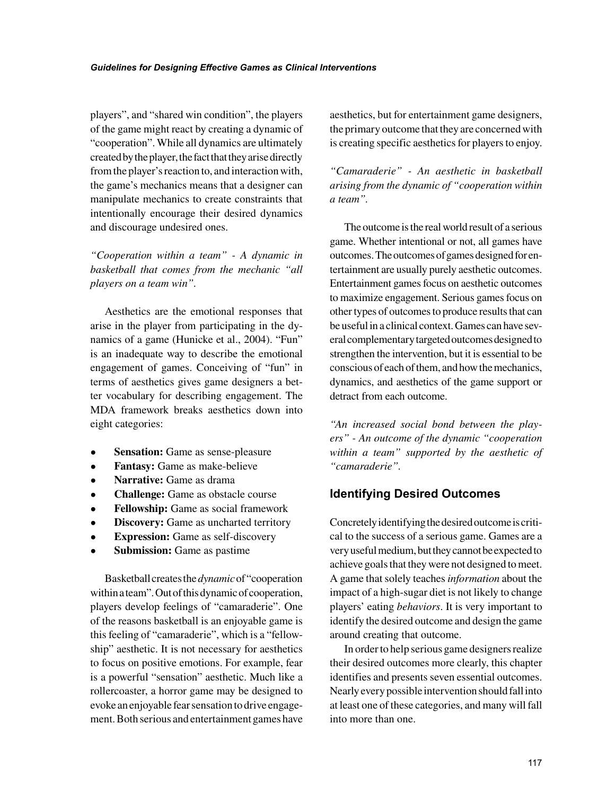players", and "shared win condition", the players of the game might react by creating a dynamic of "cooperation". While all dynamics are ultimately created by the player, the fact that they arise directly from the player's reaction to, and interaction with, the game's mechanics means that a designer can manipulate mechanics to create constraints that intentionally encourage their desired dynamics and discourage undesired ones.

*"Cooperation within a team" - A dynamic in basketball that comes from the mechanic "all players on a team win".*

Aesthetics are the emotional responses that arise in the player from participating in the dynamics of a game (Hunicke et al., 2004). "Fun" is an inadequate way to describe the emotional engagement of games. Conceiving of "fun" in terms of aesthetics gives game designers a better vocabulary for describing engagement. The MDA framework breaks aesthetics down into eight categories:

- **Sensation:** Game as sense-pleasure
- **Fantasy:** Game as make-believe
- **Narrative:** Game as drama
- **Challenge:** Game as obstacle course
- **Fellowship:** Game as social framework
- **Discovery:** Game as uncharted territory
- **Expression:** Game as self-discovery
- **Submission:** Game as pastime

Basketball creates the *dynamic* of "cooperation within a team". Out of this dynamic of cooperation, players develop feelings of "camaraderie". One of the reasons basketball is an enjoyable game is this feeling of "camaraderie", which is a "fellowship" aesthetic. It is not necessary for aesthetics to focus on positive emotions. For example, fear is a powerful "sensation" aesthetic. Much like a rollercoaster, a horror game may be designed to evoke an enjoyable fear sensation to drive engagement. Both serious and entertainment games have aesthetics, but for entertainment game designers, the primary outcome that they are concerned with is creating specific aesthetics for players to enjoy.

*"Camaraderie" - An aesthetic in basketball arising from the dynamic of "cooperation within a team".*

The outcome is the real world result of a serious game. Whether intentional or not, all games have outcomes. The outcomes of games designed for entertainment are usually purely aesthetic outcomes. Entertainment games focus on aesthetic outcomes to maximize engagement. Serious games focus on other types of outcomes to produce results that can be useful in a clinical context. Games can have several complementary targeted outcomes designed to strengthen the intervention, but it is essential to be conscious of each of them, and how the mechanics, dynamics, and aesthetics of the game support or detract from each outcome.

*"An increased social bond between the players" - An outcome of the dynamic "cooperation within a team" supported by the aesthetic of "camaraderie".*

#### **Identifying Desired Outcomes**

Concretely identifying the desired outcome is critical to the success of a serious game. Games are a very useful medium, but they cannot be expected to achieve goals that they were not designed to meet. A game that solely teaches *information* about the impact of a high-sugar diet is not likely to change players' eating *behaviors*. It is very important to identify the desired outcome and design the game around creating that outcome.

In order to help serious game designers realize their desired outcomes more clearly, this chapter identifies and presents seven essential outcomes. Nearly every possible intervention should fall into at least one of these categories, and many will fall into more than one.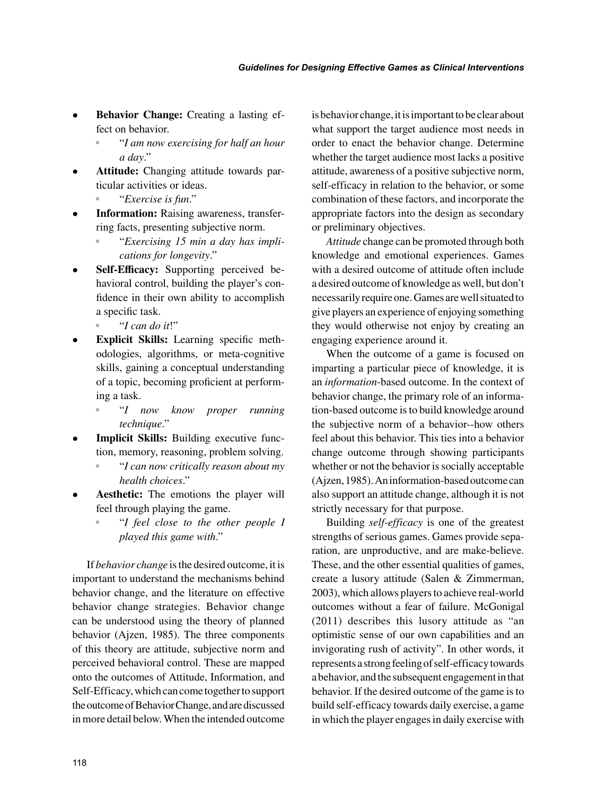- **Behavior Change:** Creating a lasting effect on behavior.
	- "*I am now exercising for half an hour a day*."
- **Attitude:** Changing attitude towards particular activities or ideas.
	- "*Exercise is fun*."
- **Information:** Raising awareness, transferring facts, presenting subjective norm.
	- "*Exercising 15 min a day has implications for longevity*."
- **Self-Efficacy:** Supporting perceived behavioral control, building the player's confidence in their own ability to accomplish a specific task.
	- "*I can do it*!"
- **Explicit Skills:** Learning specific methodologies, algorithms, or meta-cognitive skills, gaining a conceptual understanding of a topic, becoming proficient at performing a task.
	- "*I now know proper running technique*."
- **Implicit Skills:** Building executive function, memory, reasoning, problem solving.
	- "*I can now critically reason about my health choices*."
- Aesthetic: The emotions the player will feel through playing the game.
	- "*I feel close to the other people I played this game with*."

If *behavior change* is the desired outcome, it is important to understand the mechanisms behind behavior change, and the literature on effective behavior change strategies. Behavior change can be understood using the theory of planned behavior (Ajzen, 1985). The three components of this theory are attitude, subjective norm and perceived behavioral control. These are mapped onto the outcomes of Attitude, Information, and Self-Efficacy, which can come together to support the outcome of Behavior Change, and are discussed in more detail below. When the intended outcome is behavior change, it is important to be clear about what support the target audience most needs in order to enact the behavior change. Determine whether the target audience most lacks a positive attitude, awareness of a positive subjective norm, self-efficacy in relation to the behavior, or some combination of these factors, and incorporate the appropriate factors into the design as secondary or preliminary objectives.

*Attitude* change can be promoted through both knowledge and emotional experiences. Games with a desired outcome of attitude often include a desired outcome of knowledge as well, but don't necessarily require one. Games are well situated to give players an experience of enjoying something they would otherwise not enjoy by creating an engaging experience around it.

When the outcome of a game is focused on imparting a particular piece of knowledge, it is an *information*-based outcome. In the context of behavior change, the primary role of an information-based outcome is to build knowledge around the subjective norm of a behavior--how others feel about this behavior. This ties into a behavior change outcome through showing participants whether or not the behavior is socially acceptable (Ajzen, 1985). An information-based outcome can also support an attitude change, although it is not strictly necessary for that purpose.

Building *self-efficacy* is one of the greatest strengths of serious games. Games provide separation, are unproductive, and are make-believe. These, and the other essential qualities of games, create a lusory attitude (Salen & Zimmerman, 2003), which allows players to achieve real-world outcomes without a fear of failure. McGonigal (2011) describes this lusory attitude as "an optimistic sense of our own capabilities and an invigorating rush of activity". In other words, it represents a strong feeling of self-efficacy towards a behavior, and the subsequent engagement in that behavior. If the desired outcome of the game is to build self-efficacy towards daily exercise, a game in which the player engages in daily exercise with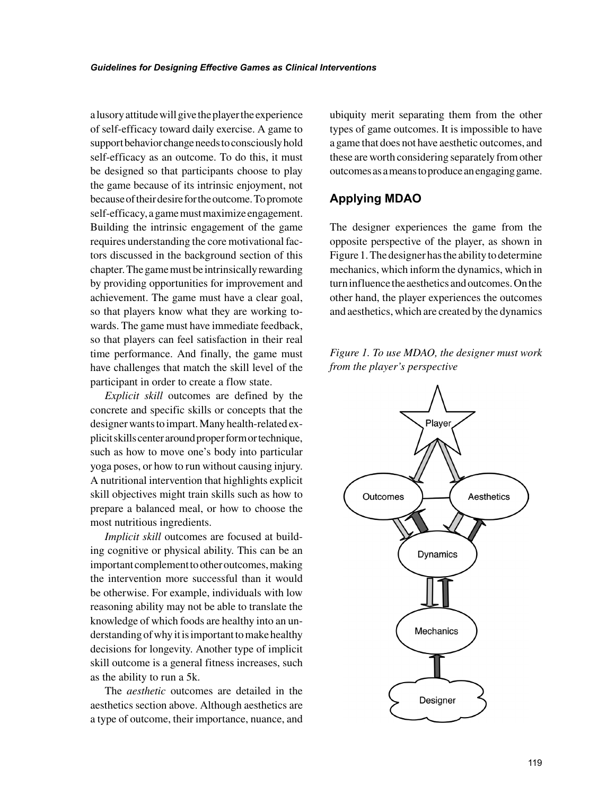a lusory attitude will give the player the experience of self-efficacy toward daily exercise. A game to support behavior change needs to consciously hold self-efficacy as an outcome. To do this, it must be designed so that participants choose to play the game because of its intrinsic enjoyment, not because of their desire for the outcome. To promote self-efficacy, a game must maximize engagement. Building the intrinsic engagement of the game requires understanding the core motivational factors discussed in the background section of this chapter. The game must be intrinsically rewarding by providing opportunities for improvement and achievement. The game must have a clear goal, so that players know what they are working towards. The game must have immediate feedback, so that players can feel satisfaction in their real time performance. And finally, the game must have challenges that match the skill level of the participant in order to create a flow state.

*Explicit skill* outcomes are defined by the concrete and specific skills or concepts that the designer wants to impart. Many health-related explicit skills center around proper form or technique, such as how to move one's body into particular yoga poses, or how to run without causing injury. A nutritional intervention that highlights explicit skill objectives might train skills such as how to prepare a balanced meal, or how to choose the most nutritious ingredients.

*Implicit skill* outcomes are focused at building cognitive or physical ability. This can be an important complement to other outcomes, making the intervention more successful than it would be otherwise. For example, individuals with low reasoning ability may not be able to translate the knowledge of which foods are healthy into an understanding of why it is important to make healthy decisions for longevity. Another type of implicit skill outcome is a general fitness increases, such as the ability to run a 5k.

The *aesthetic* outcomes are detailed in the aesthetics section above. Although aesthetics are a type of outcome, their importance, nuance, and ubiquity merit separating them from the other types of game outcomes. It is impossible to have a game that does not have aesthetic outcomes, and these are worth considering separately from other outcomes as a means to produce an engaging game.

## **Applying MDAO**

The designer experiences the game from the opposite perspective of the player, as shown in Figure 1. The designer has the ability to determine mechanics, which inform the dynamics, which in turn influence the aesthetics and outcomes. On the other hand, the player experiences the outcomes and aesthetics, which are created by the dynamics

*Figure 1. To use MDAO, the designer must work from the player's perspective*

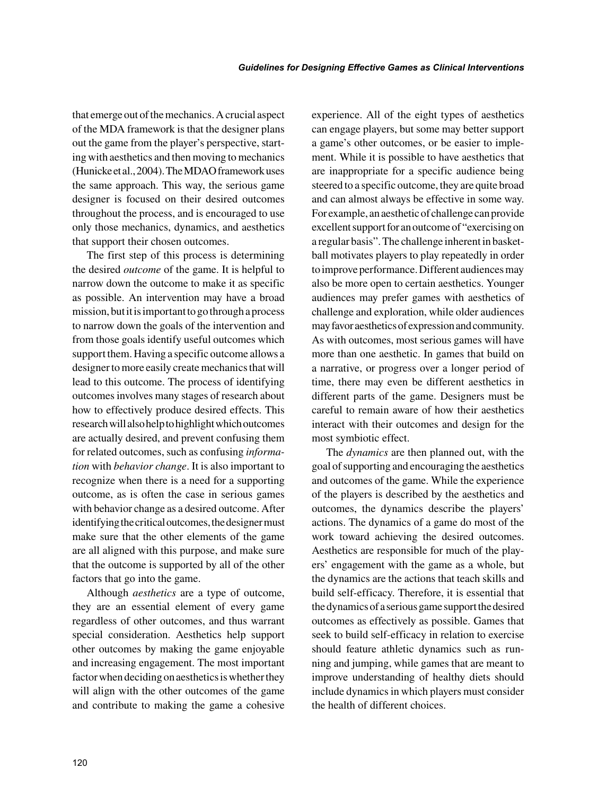that emerge out of the mechanics. A crucial aspect of the MDA framework is that the designer plans out the game from the player's perspective, starting with aesthetics and then moving to mechanics (Hunicke et al., 2004). The MDAO framework uses the same approach. This way, the serious game designer is focused on their desired outcomes throughout the process, and is encouraged to use only those mechanics, dynamics, and aesthetics that support their chosen outcomes.

The first step of this process is determining the desired *outcome* of the game. It is helpful to narrow down the outcome to make it as specific as possible. An intervention may have a broad mission, but it is important to go through a process to narrow down the goals of the intervention and from those goals identify useful outcomes which support them. Having a specific outcome allows a designer to more easily create mechanics that will lead to this outcome. The process of identifying outcomes involves many stages of research about how to effectively produce desired effects. This research will also help to highlight which outcomes are actually desired, and prevent confusing them for related outcomes, such as confusing *information* with *behavior change*. It is also important to recognize when there is a need for a supporting outcome, as is often the case in serious games with behavior change as a desired outcome. After identifying the critical outcomes, the designer must make sure that the other elements of the game are all aligned with this purpose, and make sure that the outcome is supported by all of the other factors that go into the game.

Although *aesthetics* are a type of outcome, they are an essential element of every game regardless of other outcomes, and thus warrant special consideration. Aesthetics help support other outcomes by making the game enjoyable and increasing engagement. The most important factor when deciding on aesthetics is whether they will align with the other outcomes of the game and contribute to making the game a cohesive

experience. All of the eight types of aesthetics can engage players, but some may better support a game's other outcomes, or be easier to implement. While it is possible to have aesthetics that are inappropriate for a specific audience being steered to a specific outcome, they are quite broad and can almost always be effective in some way. For example, an aesthetic of challenge can provide excellent support for an outcome of "exercising on a regular basis". The challenge inherent in basketball motivates players to play repeatedly in order to improve performance. Different audiences may also be more open to certain aesthetics. Younger audiences may prefer games with aesthetics of challenge and exploration, while older audiences may favor aesthetics of expression and community. As with outcomes, most serious games will have more than one aesthetic. In games that build on a narrative, or progress over a longer period of time, there may even be different aesthetics in different parts of the game. Designers must be careful to remain aware of how their aesthetics interact with their outcomes and design for the most symbiotic effect.

The *dynamics* are then planned out, with the goal of supporting and encouraging the aesthetics and outcomes of the game. While the experience of the players is described by the aesthetics and outcomes, the dynamics describe the players' actions. The dynamics of a game do most of the work toward achieving the desired outcomes. Aesthetics are responsible for much of the players' engagement with the game as a whole, but the dynamics are the actions that teach skills and build self-efficacy. Therefore, it is essential that the dynamics of a serious game support the desired outcomes as effectively as possible. Games that seek to build self-efficacy in relation to exercise should feature athletic dynamics such as running and jumping, while games that are meant to improve understanding of healthy diets should include dynamics in which players must consider the health of different choices.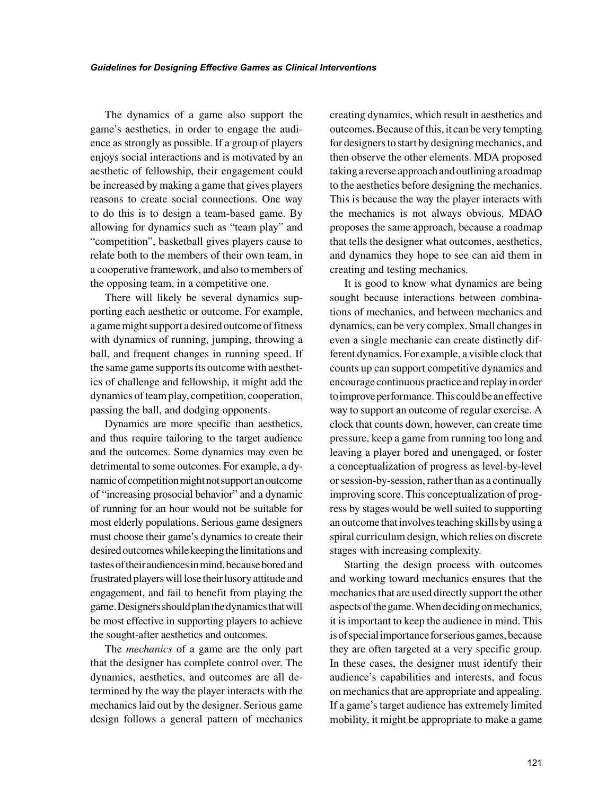The dynamics of a game also support the game's aesthetics, in order to engage the audience as strongly as possible. If a group of players enjoys social interactions and is motivated by an aesthetic of fellowship, their engagement could be increased by making a game that gives players reasons to create social connections. One way to do this is to design a team-based game. By allowing for dynamics such as "team play" and "competition", basketball gives players cause to relate both to the members of their own team, in a cooperative framework, and also to members of the opposing team, in a competitive one.

There will likely be several dynamics supporting each aesthetic or outcome. For example, a game might support a desired outcome of fitness with dynamics of running, jumping, throwing a ball, and frequent changes in running speed. If the same game supports its outcome with aesthetics of challenge and fellowship, it might add the dynamics of team play, competition, cooperation, passing the ball, and dodging opponents.

Dynamics are more specific than aesthetics, and thus require tailoring to the target audience and the outcomes. Some dynamics may even be detrimental to some outcomes. For example, a dynamic of competition might not support an outcome of "increasing prosocial behavior" and a dynamic of running for an hour would not be suitable for most elderly populations. Serious game designers must choose their game's dynamics to create their desired outcomes while keeping the limitations and tastes of their audiences in mind, because bored and frustrated players will lose their lusory attitude and engagement, and fail to benefit from playing the game. Designers should plan the dynamics that will be most effective in supporting players to achieve the sought-after aesthetics and outcomes.

The *mechanics* of a game are the only part that the designer has complete control over. The dynamics, aesthetics, and outcomes are all determined by the way the player interacts with the mechanics laid out by the designer. Serious game design follows a general pattern of mechanics creating dynamics, which result in aesthetics and outcomes. Because of this, it can be very tempting for designers to start by designing mechanics, and then observe the other elements. MDA proposed taking a reverse approach and outlining a roadmap to the aesthetics before designing the mechanics. This is because the way the player interacts with the mechanics is not always obvious. MDAO proposes the same approach, because a roadmap that tells the designer what outcomes, aesthetics, and dynamics they hope to see can aid them in creating and testing mechanics.

It is good to know what dynamics are being sought because interactions between combinations of mechanics, and between mechanics and dynamics, can be very complex. Small changes in even a single mechanic can create distinctly different dynamics. For example, a visible clock that counts up can support competitive dynamics and encourage continuous practice and replay in order to improve performance. This could be an effective way to support an outcome of regular exercise. A clock that counts down, however, can create time pressure, keep a game from running too long and leaving a player bored and unengaged, or foster a conceptualization of progress as level-by-level or session-by-session, rather than as a continually improving score. This conceptualization of progress by stages would be well suited to supporting an outcome that involves teaching skills by using a spiral curriculum design, which relies on discrete stages with increasing complexity.

Starting the design process with outcomes and working toward mechanics ensures that the mechanics that are used directly support the other aspects of the game. When deciding on mechanics, it is important to keep the audience in mind. This is of special importance for serious games, because they are often targeted at a very specific group. In these cases, the designer must identify their audience's capabilities and interests, and focus on mechanics that are appropriate and appealing. If a game's target audience has extremely limited mobility, it might be appropriate to make a game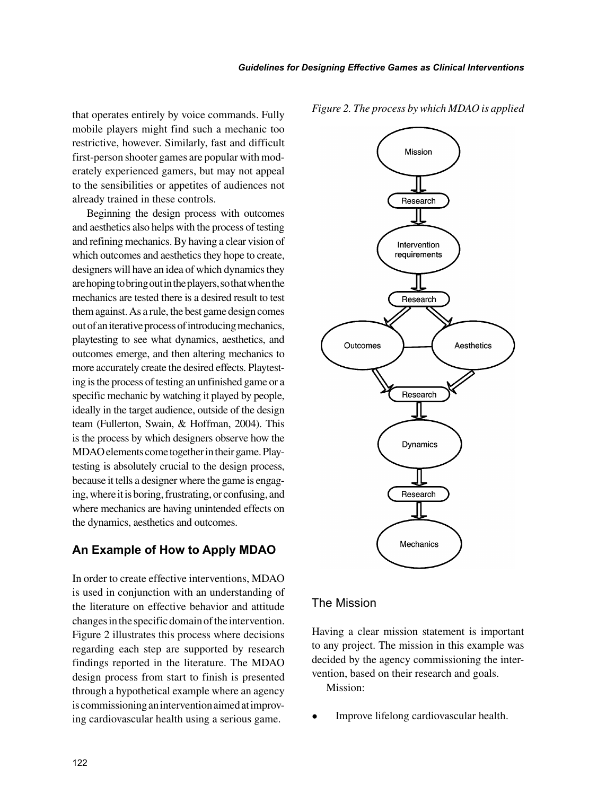that operates entirely by voice commands. Fully mobile players might find such a mechanic too restrictive, however. Similarly, fast and difficult first-person shooter games are popular with moderately experienced gamers, but may not appeal to the sensibilities or appetites of audiences not already trained in these controls.

Beginning the design process with outcomes and aesthetics also helps with the process of testing and refining mechanics. By having a clear vision of which outcomes and aesthetics they hope to create, designers will have an idea of which dynamics they are hoping to bring out in the players, so that when the mechanics are tested there is a desired result to test them against. As a rule, the best game design comes out of an iterative process of introducing mechanics, playtesting to see what dynamics, aesthetics, and outcomes emerge, and then altering mechanics to more accurately create the desired effects. Playtesting is the process of testing an unfinished game or a specific mechanic by watching it played by people, ideally in the target audience, outside of the design team (Fullerton, Swain, & Hoffman, 2004). This is the process by which designers observe how the MDAO elements come together in their game. Playtesting is absolutely crucial to the design process, because it tells a designer where the game is engaging, where it is boring, frustrating, or confusing, and where mechanics are having unintended effects on the dynamics, aesthetics and outcomes.

### **An Example of How to Apply MDAO**

In order to create effective interventions, MDAO is used in conjunction with an understanding of the literature on effective behavior and attitude changes in the specific domain of the intervention. Figure 2 illustrates this process where decisions regarding each step are supported by research findings reported in the literature. The MDAO design process from start to finish is presented through a hypothetical example where an agency is commissioning an intervention aimed at improving cardiovascular health using a serious game.





#### The Mission

Having a clear mission statement is important to any project. The mission in this example was decided by the agency commissioning the intervention, based on their research and goals. Mission:

• Improve lifelong cardiovascular health.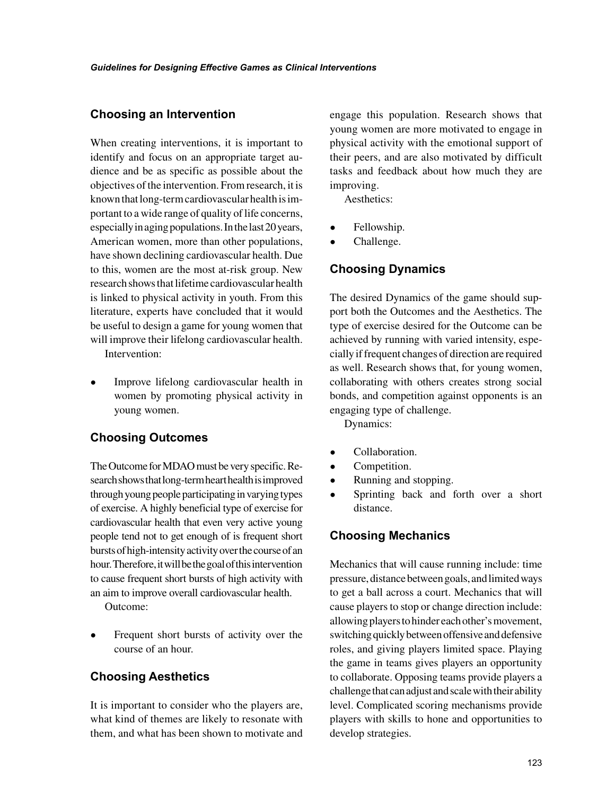#### **Choosing an Intervention**

When creating interventions, it is important to identify and focus on an appropriate target audience and be as specific as possible about the objectives of the intervention. From research, it is known that long-term cardiovascular health is important to a wide range of quality of life concerns, especially in aging populations. In the last 20 years, American women, more than other populations, have shown declining cardiovascular health. Due to this, women are the most at-risk group. New research shows that lifetime cardiovascular health is linked to physical activity in youth. From this literature, experts have concluded that it would be useful to design a game for young women that will improve their lifelong cardiovascular health.

Intervention:

• Improve lifelong cardiovascular health in women by promoting physical activity in young women.

### **Choosing Outcomes**

The Outcome for MDAO must be very specific. Research shows that long-term heart health is improved through young people participating in varying types of exercise. A highly beneficial type of exercise for cardiovascular health that even very active young people tend not to get enough of is frequent short bursts of high-intensity activity over the course of an hour. Therefore, it will be the goal of this intervention to cause frequent short bursts of high activity with an aim to improve overall cardiovascular health.

Outcome:

• Frequent short bursts of activity over the course of an hour.

### **Choosing Aesthetics**

It is important to consider who the players are, what kind of themes are likely to resonate with them, and what has been shown to motivate and engage this population. Research shows that young women are more motivated to engage in physical activity with the emotional support of their peers, and are also motivated by difficult tasks and feedback about how much they are improving.

Aesthetics:

- Fellowship.
- Challenge.

## **Choosing Dynamics**

The desired Dynamics of the game should support both the Outcomes and the Aesthetics. The type of exercise desired for the Outcome can be achieved by running with varied intensity, especially if frequent changes of direction are required as well. Research shows that, for young women, collaborating with others creates strong social bonds, and competition against opponents is an engaging type of challenge.

Dynamics:

- Collaboration.
- Competition.
- Running and stopping.
- Sprinting back and forth over a short distance.

### **Choosing Mechanics**

Mechanics that will cause running include: time pressure, distance between goals, and limited ways to get a ball across a court. Mechanics that will cause players to stop or change direction include: allowing players to hinder each other's movement, switching quickly between offensive and defensive roles, and giving players limited space. Playing the game in teams gives players an opportunity to collaborate. Opposing teams provide players a challenge that can adjust and scale with their ability level. Complicated scoring mechanisms provide players with skills to hone and opportunities to develop strategies.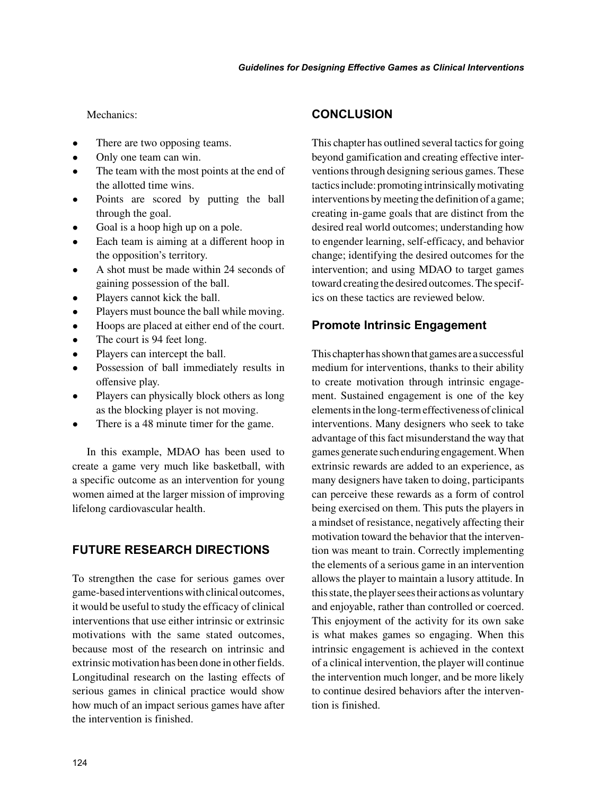#### Mechanics<sup>.</sup>

- There are two opposing teams.
- Only one team can win.
- The team with the most points at the end of the allotted time wins.
- Points are scored by putting the ball through the goal.
- Goal is a hoop high up on a pole.
- Each team is aiming at a different hoop in the opposition's territory.
- A shot must be made within 24 seconds of gaining possession of the ball.
- Players cannot kick the ball.
- Players must bounce the ball while moving.
- Hoops are placed at either end of the court.
- The court is 94 feet long.
- Players can intercept the ball.
- Possession of ball immediately results in offensive play.
- Players can physically block others as long as the blocking player is not moving.
- There is a 48 minute timer for the game.

In this example, MDAO has been used to create a game very much like basketball, with a specific outcome as an intervention for young women aimed at the larger mission of improving lifelong cardiovascular health.

#### **FUTURE RESEARCH DIRECTIONS**

To strengthen the case for serious games over game-based interventions with clinical outcomes, it would be useful to study the efficacy of clinical interventions that use either intrinsic or extrinsic motivations with the same stated outcomes, because most of the research on intrinsic and extrinsic motivation has been done in other fields. Longitudinal research on the lasting effects of serious games in clinical practice would show how much of an impact serious games have after the intervention is finished.

#### **CONCLUSION**

This chapter has outlined several tactics for going beyond gamification and creating effective interventions through designing serious games. These tactics include: promoting intrinsically motivating interventions by meeting the definition of a game; creating in-game goals that are distinct from the desired real world outcomes; understanding how to engender learning, self-efficacy, and behavior change; identifying the desired outcomes for the intervention; and using MDAO to target games toward creating the desired outcomes. The specifics on these tactics are reviewed below.

#### **Promote Intrinsic Engagement**

This chapter has shown that games are a successful medium for interventions, thanks to their ability to create motivation through intrinsic engagement. Sustained engagement is one of the key elements in the long-term effectiveness of clinical interventions. Many designers who seek to take advantage of this fact misunderstand the way that games generate such enduring engagement. When extrinsic rewards are added to an experience, as many designers have taken to doing, participants can perceive these rewards as a form of control being exercised on them. This puts the players in a mindset of resistance, negatively affecting their motivation toward the behavior that the intervention was meant to train. Correctly implementing the elements of a serious game in an intervention allows the player to maintain a lusory attitude. In this state, the player sees their actions as voluntary and enjoyable, rather than controlled or coerced. This enjoyment of the activity for its own sake is what makes games so engaging. When this intrinsic engagement is achieved in the context of a clinical intervention, the player will continue the intervention much longer, and be more likely to continue desired behaviors after the intervention is finished.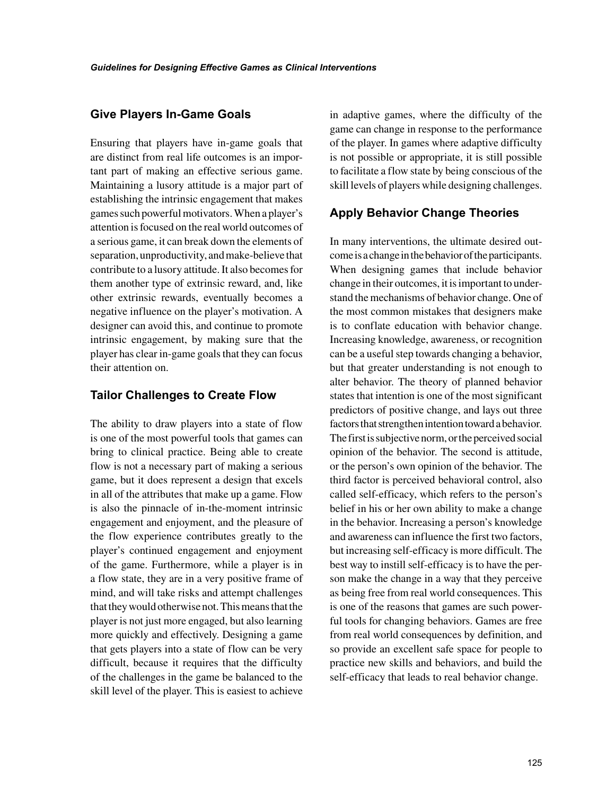#### **Give Players In-Game Goals**

Ensuring that players have in-game goals that are distinct from real life outcomes is an important part of making an effective serious game. Maintaining a lusory attitude is a major part of establishing the intrinsic engagement that makes games such powerful motivators. When a player's attention is focused on the real world outcomes of a serious game, it can break down the elements of separation, unproductivity, and make-believe that contribute to a lusory attitude. It also becomes for them another type of extrinsic reward, and, like other extrinsic rewards, eventually becomes a negative influence on the player's motivation. A designer can avoid this, and continue to promote intrinsic engagement, by making sure that the player has clear in-game goals that they can focus their attention on.

#### **Tailor Challenges to Create Flow**

The ability to draw players into a state of flow is one of the most powerful tools that games can bring to clinical practice. Being able to create flow is not a necessary part of making a serious game, but it does represent a design that excels in all of the attributes that make up a game. Flow is also the pinnacle of in-the-moment intrinsic engagement and enjoyment, and the pleasure of the flow experience contributes greatly to the player's continued engagement and enjoyment of the game. Furthermore, while a player is in a flow state, they are in a very positive frame of mind, and will take risks and attempt challenges that they would otherwise not. This means that the player is not just more engaged, but also learning more quickly and effectively. Designing a game that gets players into a state of flow can be very difficult, because it requires that the difficulty of the challenges in the game be balanced to the skill level of the player. This is easiest to achieve

in adaptive games, where the difficulty of the game can change in response to the performance of the player. In games where adaptive difficulty is not possible or appropriate, it is still possible to facilitate a flow state by being conscious of the skill levels of players while designing challenges.

## **Apply Behavior Change Theories**

In many interventions, the ultimate desired outcome is a change in the behavior of the participants. When designing games that include behavior change in their outcomes, it is important to understand the mechanisms of behavior change. One of the most common mistakes that designers make is to conflate education with behavior change. Increasing knowledge, awareness, or recognition can be a useful step towards changing a behavior, but that greater understanding is not enough to alter behavior. The theory of planned behavior states that intention is one of the most significant predictors of positive change, and lays out three factors that strengthen intention toward a behavior. The first is subjective norm, or the perceived social opinion of the behavior. The second is attitude, or the person's own opinion of the behavior. The third factor is perceived behavioral control, also called self-efficacy, which refers to the person's belief in his or her own ability to make a change in the behavior. Increasing a person's knowledge and awareness can influence the first two factors, but increasing self-efficacy is more difficult. The best way to instill self-efficacy is to have the person make the change in a way that they perceive as being free from real world consequences. This is one of the reasons that games are such powerful tools for changing behaviors. Games are free from real world consequences by definition, and so provide an excellent safe space for people to practice new skills and behaviors, and build the self-efficacy that leads to real behavior change.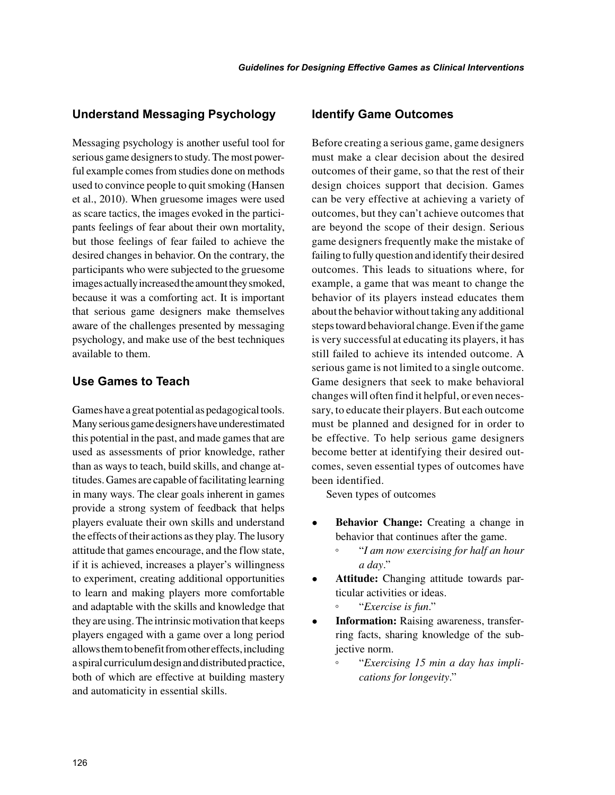#### **Understand Messaging Psychology**

Messaging psychology is another useful tool for serious game designers to study. The most powerful example comes from studies done on methods used to convince people to quit smoking (Hansen et al., 2010). When gruesome images were used as scare tactics, the images evoked in the participants feelings of fear about their own mortality, but those feelings of fear failed to achieve the desired changes in behavior. On the contrary, the participants who were subjected to the gruesome images actually increased the amount they smoked, because it was a comforting act. It is important that serious game designers make themselves aware of the challenges presented by messaging psychology, and make use of the best techniques available to them.

## **Use Games to Teach**

Games have a great potential as pedagogical tools. Many serious game designers have underestimated this potential in the past, and made games that are used as assessments of prior knowledge, rather than as ways to teach, build skills, and change attitudes. Games are capable of facilitating learning in many ways. The clear goals inherent in games provide a strong system of feedback that helps players evaluate their own skills and understand the effects of their actions as they play. The lusory attitude that games encourage, and the flow state, if it is achieved, increases a player's willingness to experiment, creating additional opportunities to learn and making players more comfortable and adaptable with the skills and knowledge that they are using. The intrinsic motivation that keeps players engaged with a game over a long period allows them to benefit from other effects, including a spiral curriculum design and distributed practice, both of which are effective at building mastery and automaticity in essential skills.

#### **Identify Game Outcomes**

Before creating a serious game, game designers must make a clear decision about the desired outcomes of their game, so that the rest of their design choices support that decision. Games can be very effective at achieving a variety of outcomes, but they can't achieve outcomes that are beyond the scope of their design. Serious game designers frequently make the mistake of failing to fully question and identify their desired outcomes. This leads to situations where, for example, a game that was meant to change the behavior of its players instead educates them about the behavior without taking any additional steps toward behavioral change. Even if the game is very successful at educating its players, it has still failed to achieve its intended outcome. A serious game is not limited to a single outcome. Game designers that seek to make behavioral changes will often find it helpful, or even necessary, to educate their players. But each outcome must be planned and designed for in order to be effective. To help serious game designers become better at identifying their desired outcomes, seven essential types of outcomes have been identified.

Seven types of outcomes

- **Behavior Change:** Creating a change in behavior that continues after the game.
	- "*I am now exercising for half an hour a day*."
- **Attitude:** Changing attitude towards particular activities or ideas.
	- "*Exercise is fun*."
- **Information:** Raising awareness, transferring facts, sharing knowledge of the subjective norm.
	- "*Exercising 15 min a day has implications for longevity*."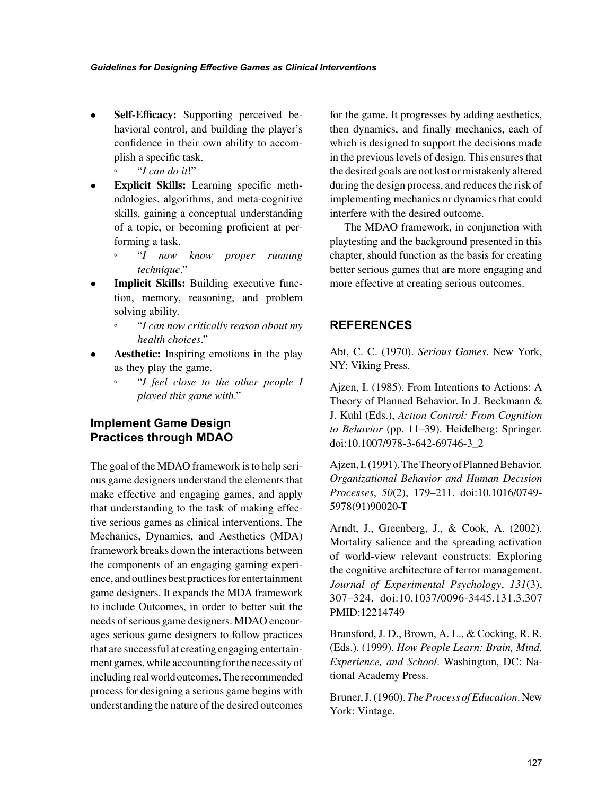- **Self-Efficacy:** Supporting perceived behavioral control, and building the player's confidence in their own ability to accomplish a specific task.
	- "*I can do it*!"
- **Explicit Skills:** Learning specific methodologies, algorithms, and meta-cognitive skills, gaining a conceptual understanding of a topic, or becoming proficient at performing a task.
	- "*I now know proper running technique*."
- **Implicit Skills:** Building executive function, memory, reasoning, and problem solving ability.
	- "*I can now critically reason about my health choices*."
- **Aesthetic:** Inspiring emotions in the play as they play the game.
	- "*I feel close to the other people I played this game with*."

# **Implement Game Design Practices through MDAO**

The goal of the MDAO framework is to help serious game designers understand the elements that make effective and engaging games, and apply that understanding to the task of making effective serious games as clinical interventions. The Mechanics, Dynamics, and Aesthetics (MDA) framework breaks down the interactions between the components of an engaging gaming experience, and outlines best practices for entertainment game designers. It expands the MDA framework to include Outcomes, in order to better suit the needs of serious game designers. MDAO encourages serious game designers to follow practices that are successful at creating engaging entertainment games, while accounting for the necessity of including real world outcomes. The recommended process for designing a serious game begins with understanding the nature of the desired outcomes

for the game. It progresses by adding aesthetics, then dynamics, and finally mechanics, each of which is designed to support the decisions made in the previous levels of design. This ensures that the desired goals are not lost or mistakenly altered during the design process, and reduces the risk of implementing mechanics or dynamics that could interfere with the desired outcome.

The MDAO framework, in conjunction with playtesting and the background presented in this chapter, should function as the basis for creating better serious games that are more engaging and more effective at creating serious outcomes.

# **REFERENCES**

Abt, C. C. (1970). *Serious Games*. New York, NY: Viking Press.

Ajzen, I. (1985). From Intentions to Actions: A Theory of Planned Behavior. In J. Beckmann & J. Kuhl (Eds.), *Action Control: From Cognition to Behavior* (pp. 11–39). Heidelberg: Springer. doi:[10.1007/978-3-642-69746-3\\_2](http://dx.doi.org/10.1007/978-3-642-69746-3_2)

Ajzen, I. (1991). The Theory of Planned Behavior. *Organizational Behavior and Human Decision Processes*, *50*(2), 179–211. doi:[10.1016/0749-](http://dx.doi.org/10.1016/0749-5978(91)90020-T) [5978\(91\)90020-T](http://dx.doi.org/10.1016/0749-5978(91)90020-T)

Arndt, J., Greenberg, J., & Cook, A. (2002). Mortality salience and the spreading activation of world-view relevant constructs: Exploring the cognitive architecture of terror management. *Journal of Experimental Psychology*, *131*(3), 307–324. doi:[10.1037/0096-3445.131.3.307](http://dx.doi.org/10.1037/0096-3445.131.3.307) PMID[:12214749](http://www.ncbi.nlm.nih.gov/pubmed/12214749)

Bransford, J. D., Brown, A. L., & Cocking, R. R. (Eds.). (1999). *How People Learn: Brain, Mind, Experience, and School*. Washington, DC: National Academy Press.

Bruner, J. (1960). *The Process of Education*. New York: Vintage.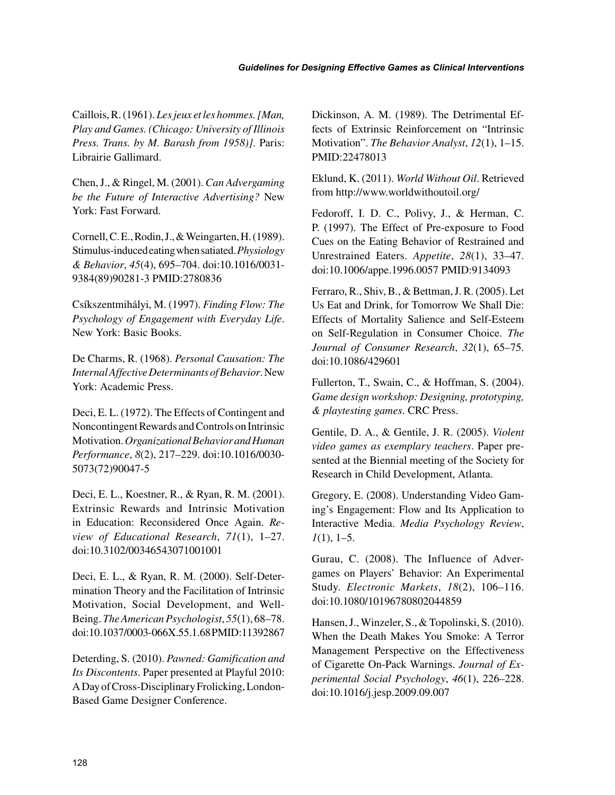Caillois, R. (1961). *Les jeux et les hommes. [Man, Play and Games. (Chicago: University of Illinois Press. Trans. by M. Barash from 1958)]*. Paris: Librairie Gallimard.

Chen, J., & Ringel, M. (2001). *Can Advergaming be the Future of Interactive Advertising?* New York: Fast Forward.

Cornell, C. E., Rodin, J., & Weingarten, H. (1989). Stimulus-induced eating when satiated. *Physiology & Behavior*, *45*(4), 695–704. doi[:10.1016/0031-](http://dx.doi.org/10.1016/0031-9384(89)90281-3) [9384\(89\)90281-3](http://dx.doi.org/10.1016/0031-9384(89)90281-3) PMID[:2780836](http://www.ncbi.nlm.nih.gov/pubmed/2780836)

Csíkszentmihályi, M. (1997). *Finding Flow: The Psychology of Engagement with Everyday Life*. New York: Basic Books.

De Charms, R. (1968). *Personal Causation: The Internal Affective Determinants of Behavior*. New York: Academic Press.

Deci, E. L. (1972). The Effects of Contingent and Noncontingent Rewards and Controls on Intrinsic Motivation. *Organizational Behavior and Human Performance*, *8*(2), 217–229. doi[:10.1016/0030-](http://dx.doi.org/10.1016/0030-5073(72)90047-5) [5073\(72\)90047-5](http://dx.doi.org/10.1016/0030-5073(72)90047-5)

Deci, E. L., Koestner, R., & Ryan, R. M. (2001). Extrinsic Rewards and Intrinsic Motivation in Education: Reconsidered Once Again. *Review of Educational Research*, *71*(1), 1–27. doi[:10.3102/00346543071001001](http://dx.doi.org/10.3102/00346543071001001)

Deci, E. L., & Ryan, R. M. (2000). Self-Determination Theory and the Facilitation of Intrinsic Motivation, Social Development, and Well-Being. *The American Psychologist*, *55*(1), 68–78. doi:[10.1037/0003-066X.55.1.68](http://dx.doi.org/10.1037/0003-066X.55.1.68) PMID:[11392867](http://www.ncbi.nlm.nih.gov/pubmed/11392867)

Deterding, S. (2010). *Pawned: Gamification and Its Discontents*. Paper presented at Playful 2010: A Day of Cross-Disciplinary Frolicking, London-Based Game Designer Conference.

Dickinson, A. M. (1989). The Detrimental Effects of Extrinsic Reinforcement on "Intrinsic Motivation". *The Behavior Analyst*, *12*(1), 1–15. PMID[:22478013](http://www.ncbi.nlm.nih.gov/pubmed/22478013)

Eklund, K. (2011). *World Without Oil*. Retrieved from <http://www.worldwithoutoil.org/>

Fedoroff, I. D. C., Polivy, J., & Herman, C. P. (1997). The Effect of Pre-exposure to Food Cues on the Eating Behavior of Restrained and Unrestrained Eaters. *Appetite*, *28*(1), 33–47. doi:[10.1006/appe.1996.0057](http://dx.doi.org/10.1006/appe.1996.0057) PMID[:9134093](http://www.ncbi.nlm.nih.gov/pubmed/9134093)

Ferraro, R., Shiv, B., & Bettman, J. R. (2005). Let Us Eat and Drink, for Tomorrow We Shall Die: Effects of Mortality Salience and Self-Esteem on Self-Regulation in Consumer Choice. *The Journal of Consumer Research*, *32*(1), 65–75. doi:[10.1086/429601](http://dx.doi.org/10.1086/429601)

Fullerton, T., Swain, C., & Hoffman, S. (2004). *Game design workshop: Designing, prototyping, & playtesting games*. CRC Press.

Gentile, D. A., & Gentile, J. R. (2005). *Violent video games as exemplary teachers*. Paper presented at the Biennial meeting of the Society for Research in Child Development, Atlanta.

Gregory, E. (2008). Understanding Video Gaming's Engagement: Flow and Its Application to Interactive Media. *Media Psychology Review*, *1*(1), 1–5.

Gurau, C. (2008). The Influence of Advergames on Players' Behavior: An Experimental Study. *Electronic Markets*, *18*(2), 106–116. doi:[10.1080/10196780802044859](http://dx.doi.org/10.1080/10196780802044859)

Hansen, J., Winzeler, S., & Topolinski, S. (2010). When the Death Makes You Smoke: A Terror Management Perspective on the Effectiveness of Cigarette On-Pack Warnings. *Journal of Experimental Social Psychology*, *46*(1), 226–228. doi:[10.1016/j.jesp.2009.09.007](http://dx.doi.org/10.1016/j.jesp.2009.09.007)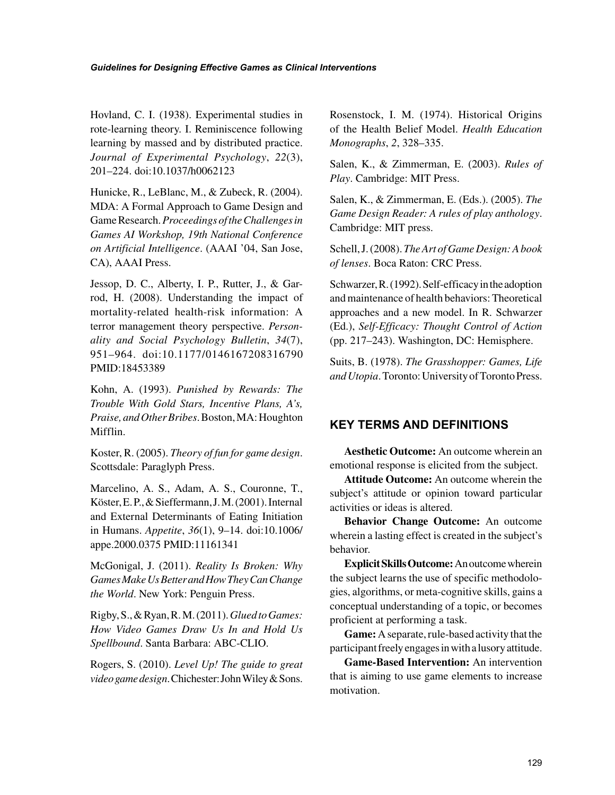Hovland, C. I. (1938). Experimental studies in rote-learning theory. I. Reminiscence following learning by massed and by distributed practice. *Journal of Experimental Psychology*, *22*(3), 201–224. doi[:10.1037/h0062123](http://dx.doi.org/10.1037/h0062123)

Hunicke, R., LeBlanc, M., & Zubeck, R. (2004). MDA: A Formal Approach to Game Design and Game Research. *Proceedings of the Challenges in Games AI Workshop, 19th National Conference on Artificial Intelligence*. (AAAI '04, San Jose, CA), AAAI Press.

Jessop, D. C., Alberty, I. P., Rutter, J., & Garrod, H. (2008). Understanding the impact of mortality-related health-risk information: A terror management theory perspective. *Personality and Social Psychology Bulletin*, *34*(7), 951–964. doi:[10.1177/0146167208316790](http://dx.doi.org/10.1177/0146167208316790)  PMID:[18453389](http://www.ncbi.nlm.nih.gov/pubmed/18453389)

Kohn, A. (1993). *Punished by Rewards: The Trouble With Gold Stars, Incentive Plans, A's, Praise, and Other Bribes*. Boston, MA: Houghton Mifflin.

Koster, R. (2005). *Theory of fun for game design*. Scottsdale: Paraglyph Press.

Marcelino, A. S., Adam, A. S., Couronne, T., Köster, E. P., & Sieffermann, J. M. (2001). Internal and External Determinants of Eating Initiation in Humans. *Appetite*, *36*(1), 9–14. doi:[10.1006/](http://dx.doi.org/10.1006/appe.2000.0375) [appe.2000.0375](http://dx.doi.org/10.1006/appe.2000.0375) PMID:[11161341](http://www.ncbi.nlm.nih.gov/pubmed/11161341)

McGonigal, J. (2011). *Reality Is Broken: Why Games Make Us Better and How They Can Change the World*. New York: Penguin Press.

Rigby, S., & Ryan, R. M. (2011). *Glued to Games: How Video Games Draw Us In and Hold Us Spellbound*. Santa Barbara: ABC-CLIO.

Rogers, S. (2010). *Level Up! The guide to great video game design*. Chichester: John Wiley & Sons.

Rosenstock, I. M. (1974). Historical Origins of the Health Belief Model. *Health Education Monographs*, *2*, 328–335.

Salen, K., & Zimmerman, E. (2003). *Rules of Play*. Cambridge: MIT Press.

Salen, K., & Zimmerman, E. (Eds.). (2005). *The Game Design Reader: A rules of play anthology*. Cambridge: MIT press.

Schell, J. (2008). *The Art of Game Design: A book of lenses*. Boca Raton: CRC Press.

Schwarzer, R. (1992). Self-efficacy in the adoption and maintenance of health behaviors: Theoretical approaches and a new model. In R. Schwarzer (Ed.), *Self-Efficacy: Thought Control of Action* (pp. 217–243). Washington, DC: Hemisphere.

Suits, B. (1978). *The Grasshopper: Games, Life and Utopia*. Toronto: University of Toronto Press.

## **KEY TERMS AND DEFINITIONS**

**Aesthetic Outcome:** An outcome wherein an emotional response is elicited from the subject.

**Attitude Outcome:** An outcome wherein the subject's attitude or opinion toward particular activities or ideas is altered.

**Behavior Change Outcome:** An outcome wherein a lasting effect is created in the subject's behavior.

**Explicit Skills Outcome:** An outcome wherein the subject learns the use of specific methodologies, algorithms, or meta-cognitive skills, gains a conceptual understanding of a topic, or becomes proficient at performing a task.

**Game:** A separate, rule-based activity that the participant freely engages in with a lusory attitude.

**Game-Based Intervention:** An intervention that is aiming to use game elements to increase motivation.